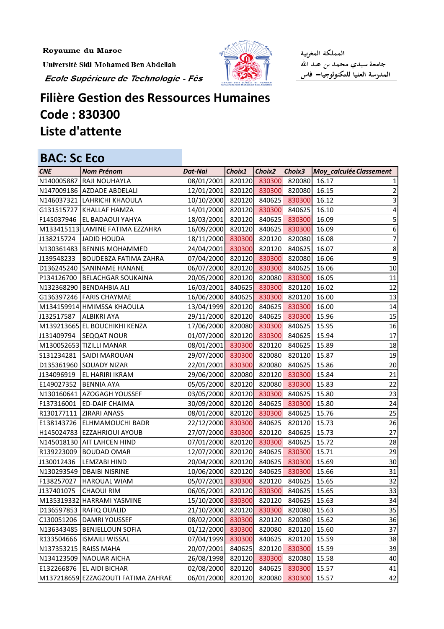Royaume du Maroc

Université Sidi Mohamed Ben Abdellah

Ecole Supérieure de Technologie - Fès



المملكة المغربية جامعة سيدي محمد بن عبد الله<br>المدرسة العليا للتكنولوجيا— فاس

## **Filière Gestion des Ressources Humaines Code : 830300 Liste d'attente**

| <b>BAC: Sc Eco</b>    |                                     |                                       |        |               |        |                         |                |
|-----------------------|-------------------------------------|---------------------------------------|--------|---------------|--------|-------------------------|----------------|
| <b>CNE</b>            | <b>Nom Prénom</b>                   | <b>Dat-Nai</b>                        | Choix1 | <b>Choix2</b> | Choix3 | Moy_calculée Classement |                |
| N140005887            | RAJI NOUHAYLA                       | 08/01/2001                            | 820120 | 830300        | 820080 | 16.17                   |                |
|                       | N147009186 AZDADE ABDELALI          | 12/01/2001                            | 820120 | 830300        | 820080 | 16.15                   | $\overline{2}$ |
|                       | N146037321 LAHRICHI KHAOULA         | 10/10/2000                            | 820120 | 840625        | 830300 | 16.12                   | 3              |
|                       | G131515727 KHALLAF HAMZA            | 14/01/2000                            | 820120 | 830300        | 840625 | 16.10                   | 4              |
|                       | F145037946   EL BADAOUI YAHYA       | 18/03/2001                            | 820120 | 840625        | 830300 | 16.09                   | 5              |
|                       | M133415113 LAMINE FATIMA EZZAHRA    | 16/09/2000                            | 820120 | 840625        | 830300 | 16.09                   | 6              |
| J138215724            | <b>JADID HOUDA</b>                  | 18/11/2000                            | 830300 | 820120        | 820080 | 16.08                   | $\overline{7}$ |
|                       | N130361483 BENNIS MOHAMMED          | 24/04/2001                            | 830300 | 820120        | 840625 | 16.07                   | 8              |
| J139548233            | <b>BOUDEBZA FATIMA ZAHRA</b>        | 07/04/2000                            | 820120 | 830300        | 820080 | 16.06                   | 9              |
|                       | D136245240 SANINAME HANANE          | 06/07/2000                            | 820120 | 830300        | 840625 | 16.06                   | 10             |
|                       | P134126700 BELACHGAR SOUKAINA       | 20/05/2000                            | 820120 | 820080        | 830300 | 16.05                   | 11             |
|                       | N132368290 BENDAHBIA ALI            | 16/03/2001                            | 840625 | 830300        | 820120 | 16.02                   | 12             |
|                       | G136397246   FARIS CHAYMAE          | 16/06/2000                            | 840625 | 830300        | 820120 | 16.00                   | 13             |
|                       | M134159914 HMIMSSA KHAOULA          | 13/04/1999                            | 820120 | 840625        | 830300 | 16.00                   | 14             |
| J132517587            | <b>ALBIKRI AYA</b>                  | 29/11/2000                            | 820120 | 840625        | 830300 | 15.96                   | 15             |
|                       | M139213665 EL BOUCHIKHI KENZA       | 17/06/2000                            | 820080 | 830300        | 840625 | 15.95                   | 16             |
| J131409794            | <b>SEQQAT NOUR</b>                  | 01/07/2000                            | 820120 | 830300        | 840625 | 15.94                   | 17             |
|                       | M130052653 TIZILLI MANAR            | 08/01/2001                            | 830300 | 820120        | 840625 | 15.89                   | 18             |
| S131234281            | <b>SAIDI MAROUAN</b>                | 29/07/2000                            | 830300 | 820080        | 820120 | 15.87                   | 19             |
|                       | D135361960 SOUADY NIZAR             | 22/01/2001                            | 830300 | 820080        | 840625 | 15.86                   | 20             |
| J134096919            | <b>EL HARIRI IKRAM</b>              | 29/06/2000                            | 820080 | 820120        | 830300 | 15.84                   | 21             |
| E149027352            | <b>BENNIA AYA</b>                   | 05/05/2000                            | 820120 | 820080        | 830300 | 15.83                   | 22             |
|                       | N130160641 AZOGAGH YOUSSEF          | 03/05/2000                            | 820120 | 830300        | 840625 | 15.80                   | 23             |
| F137316001            | <b>ED-DAIF CHAIMA</b>               | 30/09/2000                            | 820120 | 840625        | 830300 | 15.80                   | 24             |
|                       | R130177111   ZIRARI ANASS           | 08/01/2000                            | 820120 | 830300        | 840625 | 15.76                   | 25             |
| E138143726            | <b>ELHMAMOUCHI BADR</b>             | 22/12/2000                            | 830300 | 840625        | 820120 | 15.73                   | 26             |
|                       | H145024783 EZZAHRIOUI AYOUB         | 27/07/2000                            | 830300 | 820120        | 840625 | 15.73                   | 27             |
|                       | N145018130 AIT LAHCEN HIND          | 07/01/2000                            | 820120 | 830300        | 840625 | 15.72                   | 28             |
|                       | R139223009 BOUDAD OMAR              | 12/07/2000 820120 840625 830300 15.71 |        |               |        |                         | 29             |
| J130012436            | <b>LEMZABI HIND</b>                 | 20/04/2000 820120 840625 830300       |        |               |        | 15.69                   | 30             |
|                       | N130293549   DBAIBI NISRINE         | 10/06/2000                            | 820120 | 840625        | 830300 | 15.66                   | 31             |
| F138257027            | <b>HAROUAL WIAM</b>                 | 05/07/2001                            | 830300 | 820120        | 840625 | 15.65                   | 32             |
| J137401075            | <b>CHAOUI RIM</b>                   | 06/05/2001                            | 820120 | 830300        | 840625 | 15.65                   | 33             |
|                       | M135319332 HARRAMI YASMINE          | 15/10/2000                            | 830300 | 820120        | 840625 | 15.63                   | 34             |
|                       | D136597853 RAFIQ OUALID             | 21/10/2000                            | 820120 | 830300        | 820080 | 15.63                   | 35             |
| C130051206            | <b>DAMRI YOUSSEF</b>                | 08/02/2000                            | 830300 | 820120        | 820080 | 15.62                   | 36             |
| N136343485            | <b>BENJELLOUN SOFIA</b>             | 01/12/2000                            | 830300 | 820080        | 820120 | 15.60                   | 37             |
| R133504666            | <b>ISMAILI WISSAL</b>               | 07/04/1999                            | 830300 | 840625        | 820120 | 15.59                   | 38             |
| N137353215 RAISS MAHA |                                     | 20/07/2001                            | 840625 | 820120        | 830300 | 15.59                   | 39             |
|                       | N134123509 NAOUAR AICHA             | 26/08/1998                            | 820120 | 830300        | 820080 | 15.58                   | 40             |
| E132266876            | <b>EL AIDI BICHAR</b>               | 02/08/2000                            | 820120 | 840625        | 830300 | 15.57                   | 41             |
|                       | M137218659 EZZAGZOUTI FATIMA ZAHRAE | 06/01/2000                            | 820120 | 820080        | 830300 | 15.57                   | 42             |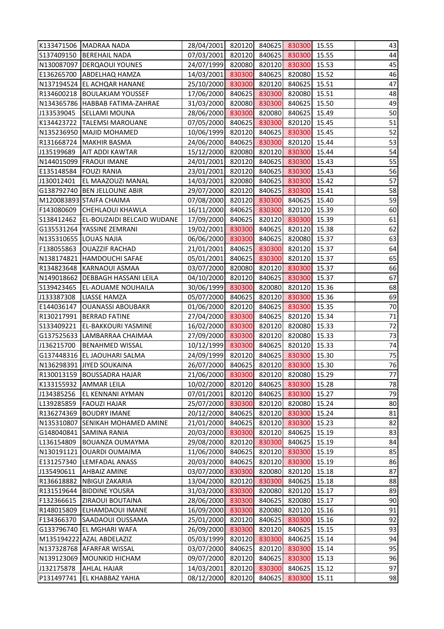|            | K133471506 MADRAA NADA             | 28/04/2001 820120 840625 830300       |        |        |        | 15.55 | 43 |
|------------|------------------------------------|---------------------------------------|--------|--------|--------|-------|----|
|            | S137409150 BEREHAIL NADA           | 07/03/2001 820120                     |        | 840625 | 830300 | 15.55 | 44 |
|            | N130087097 DERQAOUI YOUNES         | 24/07/1999                            | 820080 | 820120 | 830300 | 15.53 | 45 |
|            | E136265700 ABDELHAQ HAMZA          | 14/03/2001                            | 830300 | 840625 | 820080 | 15.52 | 46 |
|            | N137194524 EL ACHQAR HANANE        | 25/10/2000                            | 830300 | 820120 | 840625 | 15.51 | 47 |
|            | R134600218  BOULAKJAM YOUSSEF      | 17/06/2000                            | 840625 | 830300 | 820080 | 15.51 | 48 |
|            | N134365786 HABBAB FATIMA-ZAHRAE    | 31/03/2000                            | 820080 | 830300 | 840625 | 15.50 | 49 |
| J133539045 | <b>SELLAMI MOUNA</b>               | 28/06/2000                            | 830300 | 820080 | 840625 | 15.49 | 50 |
|            | K134423722   TALEMSI MAROUANE      | 07/05/2000                            | 840625 | 830300 | 820120 | 15.45 | 51 |
|            | N135236950 MAJID MOHAMED           | 10/06/1999                            | 820120 | 840625 | 830300 | 15.45 | 52 |
|            | R131668724   MAKHIR BASMA          | 24/06/2000                            | 840625 | 830300 | 820120 | 15.44 | 53 |
| J135199689 | <b>AIT ADDI KAWTAR</b>             | 15/12/2000                            | 820080 | 820120 | 830300 | 15.44 | 54 |
|            | N144015099   FRAOUI IMANE          | 24/01/2001                            | 820120 | 840625 | 830300 | 15.43 | 55 |
|            | E135148584   FOUZI RANIA           | 23/01/2001                            | 820120 | 840625 | 830300 | 15.43 | 56 |
| J130012401 | <b>EL MAAZOUZI MANAL</b>           | 14/03/2001                            | 820080 | 840625 | 830300 | 15.42 | 57 |
|            | G138792740 BEN JELLOUNE ABIR       | 29/07/2000                            | 820120 | 840625 | 830300 | 15.41 | 58 |
|            | M120083893 STAIFA CHAIMA           | 07/08/2000                            | 820120 | 830300 | 840625 | 15.40 | 59 |
|            | F143080609 CHEHLAOUI KHAWLA        | 16/11/2000                            | 840625 | 830300 | 820120 | 15.39 | 60 |
| S138412462 | <b>EL-BOUZAIDI BELCAID WIJDANE</b> | 17/09/2000                            | 840625 | 820120 | 830300 | 15.39 | 61 |
|            | G135531264 YASSINE ZEMRANI         | 19/02/2001                            | 830300 | 840625 | 820120 | 15.38 | 62 |
|            | N135310655 LOUAS NAJIA             | 06/06/2000                            | 830300 | 840625 | 820080 | 15.37 | 63 |
| F138055863 | <b>OUAZZIF RACHAD</b>              | 21/01/2001                            | 840625 | 830300 | 820120 | 15.37 | 64 |
|            | N138174821 HAMDOUCHI SAFAE         | 05/01/2001                            | 840625 | 830300 | 820120 | 15.37 | 65 |
|            | R134823648 KARNAOUI ASMAA          | 03/07/2000                            | 820080 | 820120 | 830300 | 15.37 | 66 |
|            | N149018662   DEBBAGH HASSANI LEILA | 04/10/2000                            | 820120 | 840625 | 830300 | 15.37 | 67 |
| S139423465 | <b>EL-AOUAME NOUHAILA</b>          | 30/06/1999                            | 830300 | 820080 | 820120 | 15.36 | 68 |
| J133387308 | <b>LIASSE HAMZA</b>                | 05/07/2000                            | 840625 | 820120 | 830300 | 15.36 | 69 |
|            | E144036147   OUANASSI ABOUBAKR     | 01/06/2000                            | 820120 | 840625 | 830300 | 15.35 | 70 |
|            | R130217991 BERRAD FATINE           | 27/04/2000                            | 830300 | 840625 | 820120 | 15.34 | 71 |
| S133409221 | <b>EL-BAKKOURI YASMINE</b>         | 16/02/2000                            | 830300 | 820120 | 820080 | 15.33 | 72 |
|            | G137525633 LAMBARRAA CHAIMAA       | 27/09/2000 830300                     |        | 820120 | 820080 | 15.33 | 73 |
|            | J136215700 BENAHMED WISSAL         | 10/12/1999 830300 840625 820120 15.33 |        |        |        |       | 74 |
|            | G137448316 EL JAOUHARI SALMA       | 24/09/1999                            | 820120 | 840625 | 830300 | 15.30 | 75 |
|            | N136298391 JIYED SOUKAINA          | 26/07/2000                            | 840625 | 820120 | 830300 | 15.30 | 76 |
|            | R130013159 BOUSSADRA HAJAR         | 21/06/2000                            | 830300 | 820120 | 820080 | 15.29 | 77 |
|            | K133155932 AMMAR LEILA             | 10/02/2000                            | 820120 | 840625 | 830300 | 15.28 | 78 |
| J134385256 | <b>EL KENNANI AYMAN</b>            | 07/01/2001                            | 820120 | 840625 | 830300 | 15.27 | 79 |
| L139285859 | <b>FAOUZI HAJAR</b>                | 25/07/2000                            | 830300 | 820120 | 820080 | 15.24 | 80 |
|            | R136274369 BOUDRY IMANE            | 20/12/2000                            | 840625 | 820120 | 830300 | 15.24 | 81 |
|            | N135310807 SENIKAH MOHAMED AMINE   | 21/01/2000                            | 840625 | 820120 | 830300 | 15.23 | 82 |
|            | G148040841 SAMINA RANIA            | 20/03/2000                            | 830300 | 820120 | 840625 | 15.19 | 83 |
| L136154809 | <b>BOUANZA OUMAYMA</b>             | 29/08/2000                            | 820120 | 830300 | 840625 | 15.19 | 84 |
|            | N130191121 OUARDI OUMAIMA          | 11/06/2000                            | 840625 | 820120 | 830300 | 15.19 | 85 |
| E131257340 | <b>LEMFADAL ANASS</b>              | 20/03/2000                            | 840625 | 820120 | 830300 | 15.19 | 86 |
| J135490611 | <b>AHBAIZ AMINE</b>                | 03/07/2000                            | 830300 | 820080 | 820120 | 15.18 | 87 |
| R136618882 | <b>NBIGUI ZAKARIA</b>              | 13/04/2000                            | 820120 | 830300 | 840625 | 15.18 | 88 |
|            | R131519644   BIDDINE YOUSRA        | 31/03/2000                            | 830300 | 820080 | 820120 | 15.17 | 89 |
|            | F132366615   ZIRAOUI BOUTAINA      | 28/06/2000                            | 830300 | 840625 | 820080 | 15.17 | 90 |
|            | R148015809 ELHAMDAOUI IMANE        | 16/09/2000                            | 830300 | 820080 | 820120 | 15.16 | 91 |
| F134366370 | SAADAOUI OUSSAMA                   | 25/01/2000                            | 820120 | 840625 | 830300 | 15.16 | 92 |
|            | G133796740 EL MGHARI WAFA          | 26/09/2000                            | 830300 | 820120 | 840625 | 15.15 | 93 |
|            | M135194222 AZAL ABDELAZIZ          | 05/03/1999                            | 820120 | 830300 | 840625 | 15.14 | 94 |
|            | N137328768 AFARFAR WISSAL          | 03/07/2000                            | 840625 | 820120 | 830300 | 15.14 | 95 |
|            | N139123069 MOUNKID HICHAM          | 09/07/2000                            | 820120 | 840625 | 830300 | 15.13 | 96 |
| J132175878 | <b>AHLAL HAJAR</b>                 | 14/03/2001                            | 820120 | 830300 | 840625 | 15.12 | 97 |
|            | P131497741 EL KHABBAZ YAHIA        | 08/12/2000                            | 820120 | 840625 | 830300 | 15.11 | 98 |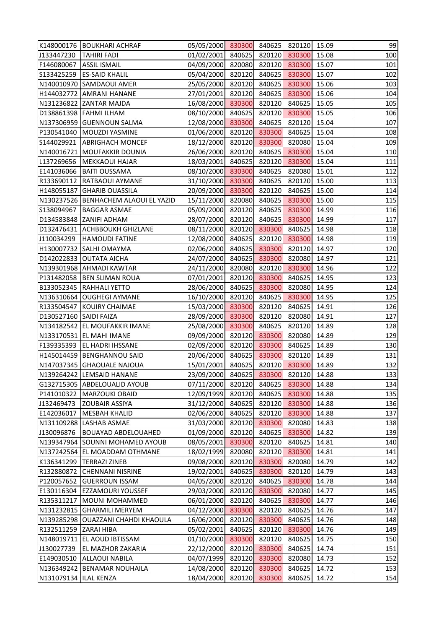|                        | K148000176   BOUKHARI ACHRAF         | 05/05/2000 830300 840625 820120 15.09 |        |        |        |       | 99  |
|------------------------|--------------------------------------|---------------------------------------|--------|--------|--------|-------|-----|
| J133447230             | <b>TAHIRI FADI</b>                   | 01/02/2001 840625 820120 830300       |        |        |        | 15.08 | 100 |
| F146080067             | <b>ASSIL ISMAIL</b>                  | 04/09/2000 820080                     |        | 820120 | 830300 | 15.07 | 101 |
|                        | S133425259 ES-SAID KHALIL            | 05/04/2000                            | 820120 | 840625 | 830300 | 15.07 | 102 |
|                        | N140010970 SAMDAOUI AMER             | 25/05/2000 820120                     |        | 840625 | 830300 | 15.06 | 103 |
|                        | H144032772 AMRANI HANANE             | 27/01/2001                            | 820120 | 840625 | 830300 | 15.06 | 104 |
|                        | N131236822 ZANTAR MAJDA              | 16/08/2000 830300                     |        | 820120 | 840625 | 15.05 | 105 |
|                        | D138861398   FAHMI ILHAM             | 08/10/2000                            | 840625 | 820120 | 830300 | 15.05 | 106 |
|                        | N137306959 GUENNOUN SALMA            | 12/08/2000                            | 830300 | 840625 | 820120 | 15.04 | 107 |
|                        | P130541040 MOUZDI YASMINE            | 01/06/2000 820120                     |        | 830300 | 840625 | 15.04 | 108 |
| S144029921             | <b>ABRIGHACH MONCEF</b>              | 18/12/2000 820120                     |        | 830300 | 820080 | 15.04 | 109 |
|                        | N140016721 MOUFAKKIR DOUNIA          | 26/06/2000 820120                     |        | 840625 | 830300 | 15.04 | 110 |
| L137269656             | <b>MEKKAOUI HAJAR</b>                | 18/03/2001                            | 840625 | 820120 | 830300 | 15.04 | 111 |
|                        | E141036066   BAITI OUSSAMA           | 08/10/2000                            | 830300 | 840625 | 820080 | 15.01 | 112 |
|                        | R133690112 RATBAOUI AYMANE           | 31/10/2000                            | 830300 | 840625 | 820120 | 15.00 | 113 |
|                        | H148055187 GHARIB OUASSILA           | 20/09/2000                            | 830300 | 820120 | 840625 | 15.00 | 114 |
|                        | N130237526 BENHACHEM ALAOUI EL YAZID | 15/11/2000 820080                     |        | 840625 | 830300 | 15.00 | 115 |
| S138094967             | <b>BAGGAR ASMAE</b>                  | 05/09/2000 820120                     |        | 840625 | 830300 | 14.99 | 116 |
| D134583848             | ZANIFI ADHAM                         | 28/07/2000                            | 820120 | 840625 | 830300 | 14.99 | 117 |
|                        | D132476431 ACHBBOUKH GHIZLANE        | 08/11/2000                            | 820120 | 830300 | 840625 | 14.98 | 118 |
| J110034299             | <b>HAMOUDI FATINE</b>                | 12/08/2000 840625                     |        | 820120 | 830300 | 14.98 | 119 |
|                        | H130007732 SALHI OMAYMA              | 02/06/2000                            | 840625 | 830300 | 820120 | 14.97 | 120 |
|                        | D142022833 OUTATA AICHA              | 24/07/2000 840625                     |        | 830300 | 820080 | 14.97 | 121 |
|                        | N139301968 AHMADI KAWTAR             | 24/11/2000                            | 820080 | 820120 | 830300 | 14.96 | 122 |
|                        | P131482058 BEN SLIMAN ROUA           | 07/01/2001                            | 820120 | 830300 | 840625 | 14.95 | 123 |
|                        | B133052345 RAHHALI YETTO             | 28/06/2000 840625                     |        | 830300 | 820080 | 14.95 | 124 |
|                        | N136310664 OUGHEGI AYMANE            | 16/10/2000                            | 820120 | 840625 | 830300 | 14.95 | 125 |
|                        | R133504547 KOUIRY CHAIMAE            | 15/03/2000 830300                     |        | 820120 | 840625 | 14.91 | 126 |
| D130527160 SAIDI FAIZA |                                      | 28/09/2000                            | 830300 | 820120 | 820080 | 14.91 | 127 |
|                        | N134182542 EL MOUFAKKIR IMANE        | 25/08/2000                            | 830300 | 840625 | 820120 | 14.89 | 128 |
|                        | N133170531 EL MAHI IMANE             | 09/09/2000 820120 830300              |        |        | 820080 | 14.89 | 129 |
|                        | F139335393 EL HADRI IHSSANE          | 02/09/2000 820120 830300 840625 14.89 |        |        |        |       | 130 |
|                        | H145014459 BENGHANNOU SAID           | 20/06/2000                            | 840625 | 830300 | 820120 | 14.89 | 131 |
|                        | N147037345 GHAOUALE NAJOUA           | 15/01/2001                            | 840625 | 820120 | 830300 | 14.89 | 132 |
|                        | N139264242 LEMSAID HANANE            | 23/09/2000                            | 840625 | 830300 | 820120 | 14.88 | 133 |
|                        | G132715305 ABDELOUALID AYOUB         | 07/11/2000                            | 820120 | 840625 | 830300 | 14.88 | 134 |
| P141010322             | <b>MARZOUKI OBAID</b>                | 12/09/1999                            | 820120 | 840625 | 830300 | 14.88 | 135 |
| J132469473             | ZOUBAIR ASSIYA                       | 31/12/2000                            | 840625 | 820120 | 830300 | 14.88 | 136 |
| E142036017             | <b>MESBAH KHALID</b>                 | 02/06/2000                            | 840625 | 820120 | 830300 | 14.88 | 137 |
| N131109288             | <b>LASHAB ASMAE</b>                  | 31/03/2000                            | 820120 | 830300 | 820080 | 14.83 | 138 |
| J130096876             | <b>BOUAYAD ABDELOUAHED</b>           | 01/09/2000                            | 820120 | 840625 | 830300 | 14.82 | 139 |
|                        | N139347964 SOUNNI MOHAMED AYOUB      | 08/05/2001                            | 830300 | 820120 | 840625 | 14.81 | 140 |
|                        | N137242564 EL MOADDAM OTHMANE        | 18/02/1999                            | 820080 | 820120 | 830300 | 14.81 | 141 |
| K136341299             | <b>TERRAZI ZINEB</b>                 | 09/08/2000                            | 820120 | 830300 | 820080 | 14.79 | 142 |
| R132880872             | <b>CHENNANI NISRINE</b>              | 19/02/2001                            | 840625 | 830300 | 820120 | 14.79 | 143 |
| P120057652             | <b>GUERROUN ISSAM</b>                | 04/05/2000                            | 820120 | 840625 | 830300 | 14.78 | 144 |
|                        | E130116304 EZZAMOURI YOUSSEF         | 29/03/2000                            | 820120 | 830300 | 820080 | 14.77 | 145 |
|                        | R135311217   MOUNI MOHAMMED          | 06/01/2000                            | 820120 | 840625 | 830300 | 14.77 | 146 |
|                        | N131232815 GHARMILI MERYEM           | 04/12/2000                            | 830300 | 820120 | 840625 | 14.76 | 147 |
| N139285298             | <b>OUAZZANI CHAHDI KHAOULA</b>       | 16/06/2000                            | 820120 | 830300 | 840625 | 14.76 | 148 |
| R132511259 ZARAI HIBA  |                                      | 05/02/2001                            | 840625 | 820120 | 830300 | 14.76 | 149 |
|                        | N148019711 EL AOUD IBTISSAM          | 01/10/2000                            | 830300 | 820120 | 840625 | 14.75 | 150 |
| J130027739             | EL MAZHOR ZAKARIA                    | 22/12/2000                            | 820120 | 830300 | 840625 | 14.74 | 151 |
| E149030510             | ALLAOUI NABILA                       | 04/07/1999                            | 820120 | 830300 | 820080 | 14.73 | 152 |
|                        | N136349242 BENAMAR NOUHAILA          | 14/08/2000                            | 820120 | 830300 | 840625 | 14.72 | 153 |
| N131079134  ILAL KENZA |                                      | 18/04/2000                            | 820120 | 830300 | 840625 | 14.72 | 154 |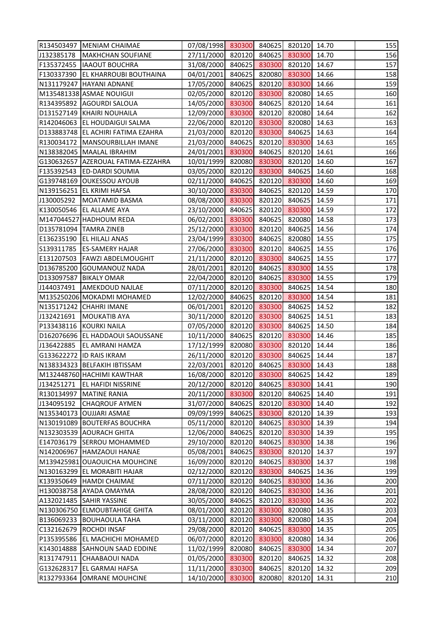|            | R134503497   MENIAM CHAIMAE          | 07/08/1998 830300 840625 820120 14.70 |        |               |               |       | 155 |
|------------|--------------------------------------|---------------------------------------|--------|---------------|---------------|-------|-----|
| J132385178 | MAKHCHAN SOUFIANE                    | 27/11/2000 820120 840625 830300       |        |               |               | 14.70 | 156 |
|            | F135372455  IAAOUT BOUCHRA           | 31/08/2000 840625 830300              |        |               | 820120        | 14.67 | 157 |
|            | F130337390 EL KHARROUBI BOUTHAINA    | 04/01/2001                            | 840625 | 820080        | 830300        | 14.66 | 158 |
|            | N131179247 HAYANI ADNANE             | 17/05/2000 840625                     |        |               | 820120 830300 | 14.66 | 159 |
|            | M135481338 ASMAE NOUIGUI             | 02/05/2000 820120 830300              |        |               | 820080        | 14.65 | 160 |
|            | R134395892 AGOURDI SALOUA            | 14/05/2000 830300                     |        |               | 840625 820120 | 14.64 | 161 |
|            | D131527149   KHAIRI NOUHAILA         | 12/09/2000 830300                     |        | 820120        | 820080        | 14.64 | 162 |
|            | R142046063 EL HOUDAIGUI SALMA        | 22/06/2000 820120                     |        | 830300        | 820080        | 14.63 | 163 |
|            | D133883748 EL ACHIRI FATIMA EZAHRA   | 21/03/2000 820120 830300              |        |               | 840625        | 14.63 | 164 |
|            | R130034172   MANSOURBILLAH IMANE     | 21/03/2000 840625                     |        |               | 820120 830300 | 14.63 | 165 |
|            | N138382045   MAALAL IBRAHIM          | 24/01/2001 830300                     |        |               | 840625 820120 | 14.61 | 166 |
|            | G130632657   AZEROUAL FATIMA-EZZAHRA | 10/01/1999 820080 830300              |        |               | 820120        | 14.60 | 167 |
|            | F135392543 ED-DARDI SOUMIA           | 03/05/2000                            | 820120 | 830300        | 840625        | 14.60 | 168 |
|            | G139748169 OUKESSOU AYOUB            | 02/11/2000 840625                     |        |               | 820120 830300 | 14.60 | 169 |
|            | N139156251 EL KRIMI HAFSA            | 30/10/2000 830300                     |        | 840625        | 820120        | 14.59 | 170 |
|            | J130005292   MOATAMID BASMA          | 08/08/2000 830300                     |        | 820120        | 840625        | 14.59 | 171 |
|            | K130050546 EL ALLAME AYA             | 23/10/2000 840625 820120 830300       |        |               |               | 14.59 | 172 |
|            | M147044527 HADHOUM REDA              | 06/02/2001                            | 830300 | 840625        | 820080        | 14.58 | 173 |
|            | D135781094   TAMRA ZINEB             | 25/12/2000 830300                     |        | 820120        | 840625        | 14.56 | 174 |
|            | E136235190 EL HILALI ANAS            | 23/04/1999 830300                     |        |               | 840625 820080 | 14.55 | 175 |
|            | S139311785   ES-SAMERY HAJAR         | 27/06/2000 830300                     |        | 820120        | 840625        | 14.55 | 176 |
|            | E131207503   FAWZI ABDELMOUGHIT      | 21/11/2000 820120 830300              |        |               | 840625        | 14.55 | 177 |
|            | D136785200 GOUMANOUZ NADA            | 28/01/2001                            | 820120 | 840625        | 830300        | 14.55 | 178 |
|            | D133097587 BIKALY OMAR               | 22/04/2000 820120                     |        | 840625        | 830300        | 14.55 | 179 |
|            | J144037491   AMEKDOUD NAJLAE         | 07/11/2000 820120 830300              |        |               | 840625        | 14.54 | 180 |
|            | M135250206 MOKADMI MOHAMED           | 12/02/2000 840625 820120 830300       |        |               |               | 14.54 | 181 |
|            | N135171242 CHAHRI IMANE              | 06/01/2001 820120 830300              |        |               | 840625        | 14.52 | 182 |
| J132421691 | <b>MOUKATIB AYA</b>                  | 30/11/2000 820120 830300              |        |               | 840625        | 14.51 | 183 |
|            | P133438116 KOURKI NAILA              | 07/05/2000                            |        | 820120 830300 | 840625        | 14.50 | 184 |
|            | D162076696 EL HADDAOUI SAOUSSANE     | 10/11/2000 840625 820120 830300 14.46 |        |               |               |       | 185 |
|            | J136422885 EL AMRANI HAMZA           | 17/12/1999 820080 830300 820120 14.44 |        |               |               |       | 186 |
|            | G133622272  ID RAIS IKRAM            | 26/11/2000                            |        | 820120 830300 | 840625        | 14.44 | 187 |
|            | N138334323 BELFAKIH IBTISSAM         | 22/03/2001                            |        | 820120 840625 | 830300        | 14.43 | 188 |
|            | M132448760 HACHIMI KAWTHAR           | 16/08/2000                            | 820120 | 830300        | 840625        | 14.42 | 189 |
| J134251271 | <b>EL HAFIDI NISSRINE</b>            | 20/12/2000                            | 820120 | 840625        | 830300        | 14.41 | 190 |
|            | R130134997   MATINE RANIA            | 20/11/2000                            | 830300 | 820120        | 840625        | 14.40 | 191 |
| J134095192 | <b>CHAQROUF AYMEN</b>                | 31/07/2000                            | 840625 | 820120        | 830300        | 14.40 | 192 |
|            | N135340173 OUJJARI ASMAE             | 09/09/1999                            | 840625 | 830300        | 820120        | 14.39 | 193 |
|            | N130191089 BOUTERFAS BOUCHRA         | 05/11/2000                            | 820120 | 840625        | 830300        | 14.39 | 194 |
|            | N132303539 AOURACH GHITA             | 12/06/2000                            | 840625 | 820120        | 830300        | 14.39 | 195 |
|            | E147036179 SERROU MOHAMMED           | 29/10/2000                            | 820120 | 840625        | 830300        | 14.38 | 196 |
|            | N142006967  HAMZAOUI HANAE           | 05/08/2001                            | 840625 | 830300        | 820120        | 14.37 | 197 |
|            | M139425981 OUAOUICHA MOUHCINE        | 16/09/2000                            | 820120 | 840625        | 830300        | 14.37 | 198 |
|            | N130163299 EL MORABITI HAJAR         | 02/12/2000                            | 820120 | 830300        | 840625        | 14.36 | 199 |
|            | K139350649  HAMDI CHAIMAE            | 07/11/2000                            | 820120 | 840625        | 830300        | 14.36 | 200 |
|            | H130038758 AYADA OMAYMA              | 28/08/2000                            | 820120 | 840625        | 830300        | 14.36 | 201 |
|            | A132021485 SAHIR YASSINE             | 30/05/2000                            | 840625 | 820120        | 830300        | 14.36 | 202 |
|            | N130306750 ELMOUBTAHIGE GHITA        | 08/01/2000                            | 820120 | 830300        | 820080        | 14.35 | 203 |
|            | B136069233 BOUHAOULA TAHA            | 03/11/2000                            | 820120 | 830300        | 820080        | 14.35 | 204 |
|            | C132162679 ROCHDI INSAF              | 29/08/2000                            | 820120 | 840625        | 830300        | 14.35 | 205 |
|            | P135395586 EL MACHICHI MOHAMED       | 06/07/2000                            | 820120 | 830300        | 820080        | 14.34 | 206 |
|            | K143014888 SAHNOUN SAAD EDDINE       | 11/02/1999                            | 820080 | 840625        | 830300        | 14.34 | 207 |
|            | R131747911 CHAABAOUI NADA            | 01/05/2000                            | 830300 | 820120        | 840625        | 14.32 | 208 |
|            | G132628317 EL GARMAI HAFSA           | 11/11/2000                            | 830300 | 840625        | 820120        | 14.32 | 209 |
|            | R132793364 OMRANE MOUHCINE           | 14/10/2000                            | 830300 | 820080        | 820120 14.31  |       | 210 |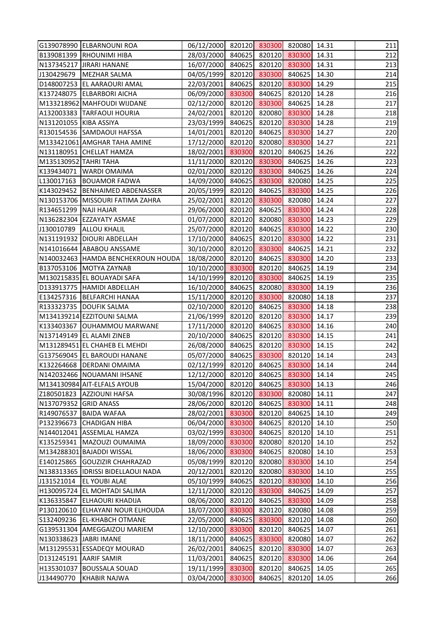|                        | G139078990 ELBARNOUNI ROA                                       | 06/12/2000 820120 830300 820080 14.31         |        |        |                  |       | 211        |
|------------------------|-----------------------------------------------------------------|-----------------------------------------------|--------|--------|------------------|-------|------------|
|                        | B139081399 RHOUNIMI HIBA                                        | 28/03/2000 840625 820120 830300               |        |        |                  | 14.31 | 212        |
|                        | N137345217 JIRARI HANANE                                        | 16/07/2000 840625                             |        | 820120 | 830300           | 14.31 | 213        |
|                        | J130429679   MEZHAR SALMA                                       | 04/05/1999 820120                             |        | 830300 | 840625           | 14.30 | 214        |
|                        | D148007253 EL AARAOURI AMAL                                     | 22/03/2001 840625                             |        | 820120 | 830300           | 14.29 | 215        |
|                        | K137248075 ELBARBORI AICHA                                      | 06/09/2000 830300                             |        | 840625 | 820120           | 14.28 | 216        |
|                        | M133218962 MAHFOUDI WIJDANE                                     | 02/12/2000 820120                             |        | 830300 | 840625           | 14.28 | 217        |
|                        | A132003383 TARFAOUI HOURIA                                      | 24/02/2001                                    | 820120 | 820080 | 830300           | 14.28 | 218        |
| N131201055 KIBA ASSIYA |                                                                 | 23/03/1999 840625                             |        | 820120 | 830300           | 14.28 | 219        |
|                        | R130154536 SAMDAOUI HAFSSA                                      | 14/01/2001 820120                             |        | 840625 | 830300           | 14.27 | 220        |
|                        | M133421061 AMGHAR TAHA AMINE                                    | 17/12/2000 820120                             |        | 820080 | 830300           | 14.27 | 221        |
|                        | N131180951 CHELLAT HAMZA                                        | 18/02/2001 830300                             |        | 820120 | 840625           | 14.26 | 222        |
| M135130952 TAHRI TAHA  |                                                                 | 11/11/2000 820120                             |        | 830300 | 840625           | 14.26 | 223        |
|                        | K139434071   WARDI OMAIMA                                       | 02/01/2000                                    | 820120 | 830300 | 840625           | 14.26 | 224        |
|                        | L130017163 BOUAMOR FADWA                                        | 14/09/2000                                    | 840625 | 830300 | 820080           | 14.25 | 225        |
|                        | K143029452   BENHAIMED ABDENASSER                               | 20/05/1999 820120                             |        | 840625 | 830300           | 14.25 | 226        |
|                        | N130153706 MISSOURI FATIMA ZAHRA                                | 25/02/2001 820120                             |        | 830300 | 820080           | 14.24 | 227        |
| R134651299 NAJI HAJAR  |                                                                 | 29/06/2000 820120 840625                      |        |        | 830300           | 14.24 | 228        |
|                        | N136282304 EZZAYATY ASMAE                                       | 01/07/2000                                    | 820120 | 820080 | 830300           | 14.23 | 229        |
|                        | J130010789 ALLOU KHALIL                                         | 25/07/2000                                    | 820120 | 840625 | 830300           | 14.22 | 230        |
|                        | N131191932   DIOURI ABDELLAH                                    | 17/10/2000 840625                             |        | 820120 | 830300           | 14.22 | 231        |
|                        | N141016644 ABABOU ANSSAME                                       | 30/10/2000 820120                             |        | 830300 | 840625           | 14.21 | 232        |
|                        | N140032463 HAMDA BENCHEKROUN HOUDA                              | 18/08/2000 820120                             |        | 840625 | 830300           | 14.20 | 233        |
|                        | B137053106 MOTYA ZAYNAB                                         | 10/10/2000                                    | 830300 | 820120 | 840625           | 14.19 | 234        |
|                        | M130215835 EL BOUAYADI SAFA                                     | 14/10/1999                                    | 820120 | 830300 | 840625           | 14.19 | 235        |
|                        | D133913775  HAMIDI ABDELLAH                                     | 16/10/2000 840625                             |        | 820080 | 830300           | 14.19 | 236        |
|                        | E134257316   BELFARCHI HANAA                                    | 15/11/2000 820120                             |        | 830300 | 820080           | 14.18 | 237        |
|                        | R133323735   DOUFIK SALMA                                       | 02/10/2000 820120                             |        | 840625 | 830300           | 14.18 | 238        |
|                        | M134139214 EZZITOUNI SALMA                                      |                                               |        |        |                  | 14.17 | 239        |
|                        |                                                                 | 21/06/1999 820120                             |        | 820120 | 830300<br>830300 | 14.16 |            |
|                        | K133403367 OUHAMMOU MARWANE<br>N137149149 EL ALAMI ZINEB        | 17/11/2000<br>20/10/2000 840625 820120 830300 | 820120 | 840625 |                  |       | 240        |
|                        |                                                                 | 26/08/2000 840625 820120 830300 14.15         |        |        |                  | 14.15 | 241        |
|                        | M131289451 EL CHAHEB EL MEHDI<br>G137569045   EL BAROUDI HANANE |                                               |        |        |                  | 14.14 | 242<br>243 |
|                        |                                                                 | 05/07/2000                                    | 840625 | 830300 | 820120           | 14.14 |            |
|                        | K132264668   DERDANI OMAIMA                                     | 02/12/1999                                    | 820120 | 840625 | 830300           |       | 244        |
|                        | N142032466 NOUAMANI IHSANE                                      | 12/12/2000                                    | 820120 | 840625 | 830300           | 14.14 | 245        |
|                        | M134130984 AIT-ELFALS AYOUB                                     | 15/04/2000                                    | 820120 | 840625 | 830300           | 14.13 | 246        |
|                        | Z180501823   AZZIOUNI HAFSA                                     | 30/08/1996                                    | 820120 | 830300 | 820080           | 14.11 | 247        |
| N137079352 GRID ANASS  |                                                                 | 28/06/2000                                    | 820120 | 840625 | 830300           | 14.11 | 248        |
| R149076537             | <b>BAIDA WAFAA</b>                                              | 28/02/2001                                    | 830300 | 820120 | 840625           | 14.10 | 249        |
|                        | P132396673 CHADIGAN HIBA                                        | 06/04/2000                                    | 830300 | 840625 | 820120           | 14.10 | 250        |
|                        | N144012041 ASSEMLAL HAMZA                                       | 03/02/1999                                    | 830300 | 840625 | 820120           | 14.10 | 251        |
|                        | K135259341   MAZOUZI OUMAIMA                                    | 18/09/2000                                    | 830300 | 820080 | 820120           | 14.10 | 252        |
|                        | M134288301 BAJADDI WISSAL                                       | 18/06/2000                                    | 830300 | 840625 | 820080           | 14.10 | 253        |
|                        | E140125865 GOUZIZIR CHAHRAZAD                                   | 05/08/1999                                    | 820120 | 820080 | 830300           | 14.10 | 254        |
|                        | N138313365  IDRISSI BIDELLAOUI NADA                             | 20/12/2001                                    | 820120 | 820080 | 830300           | 14.10 | 255        |
| J131521014             | <b>EL YOUBI ALAE</b>                                            | 05/10/1999                                    | 840625 | 820120 | 830300           | 14.10 | 256        |
|                        | H130095724 EL MOHTADI SALIMA                                    | 12/11/2000                                    | 820120 | 830300 | 840625           | 14.09 | 257        |
|                        | K136335847 ELHAOURI KHADIJA                                     | 08/06/2000                                    | 820120 | 840625 | 830300           | 14.09 | 258        |
| P130120610             | <b>ELHAYANI NOUR ELHOUDA</b>                                    | 18/07/2000                                    | 830300 | 820120 | 820080           | 14.08 | 259        |
|                        | S132409236 EL-KHABCH OTMANE                                     | 22/05/2000                                    | 840625 | 830300 | 820120           | 14.08 | 260        |
|                        | G139531304 AMEGGAIZOU MARIEM                                    | 12/10/2000                                    | 830300 | 820120 | 840625           | 14.07 | 261        |
|                        | N130338623 JABRI IMANE                                          | 18/11/2000                                    | 840625 | 830300 | 820080           | 14.07 | 262        |
|                        | M131295531 ESSADEQY MOURAD                                      | 26/02/2001                                    | 840625 | 820120 | 830300           | 14.07 | 263        |
|                        | D131245191 AARIF SAMIR                                          | 11/03/2001                                    | 840625 | 820120 | 830300           | 14.06 | 264        |
|                        | H135301037 BOUSSALA SOUAD                                       | 19/11/1999                                    | 830300 | 820120 | 840625           | 14.05 | 265        |
| J134490770             | <b>KHABIR NAJWA</b>                                             | 03/04/2000                                    | 830300 | 840625 | 820120           | 14.05 | 266        |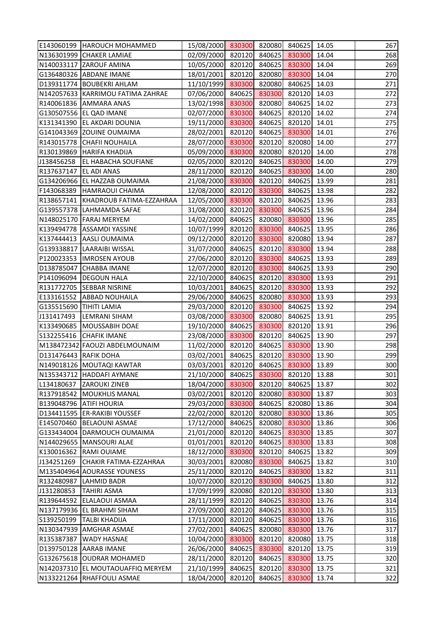|                       | E143060199   HAROUCH MOHAMMED         | 15/08/2000 830300 820080              |        |        | 840625 | 14.05 | 267 |
|-----------------------|---------------------------------------|---------------------------------------|--------|--------|--------|-------|-----|
|                       | N136301999 CHAKER LAMIAE              | 02/09/2000 820120                     |        | 840625 | 830300 | 14.04 | 268 |
|                       | N140033117 ZAROUF AMINA               | 10/05/2000                            | 820120 | 840625 | 830300 | 14.04 | 269 |
|                       | G136480326 ABDANE IMANE               | 18/01/2001                            | 820120 | 820080 | 830300 | 14.04 | 270 |
|                       | D139311774 BOUBEKRI AHLAM             | 11/10/1999                            | 830300 | 820080 | 840625 | 14.03 | 271 |
|                       | N142057633 KARRIMOU FATIMA ZAHRAE     | 07/06/2000                            | 840625 | 830300 | 820120 | 14.03 | 272 |
|                       | R140061836 AMMARA ANAS                | 13/02/1998                            | 830300 | 820080 | 840625 | 14.02 | 273 |
|                       | G130507556 EL QAD IMANE               | 02/07/2000                            | 830300 | 840625 | 820120 | 14.02 | 274 |
|                       | K131341390 EL AKDARI DOUNIA           | 19/11/2000                            | 830300 | 840625 | 820120 | 14.01 | 275 |
|                       | G141043369 ZOUINE OUMAIMA             | 28/02/2001                            | 820120 | 840625 | 830300 | 14.01 | 276 |
|                       | R143015778 CHAFII NOUHAILA            | 28/07/2000 830300                     |        | 820120 | 820080 | 14.00 | 277 |
|                       | R130139869 HARIFA KHADIJA             | 05/09/2000 830300                     |        | 820080 | 820120 | 14.00 | 278 |
| J138456258            | <b>EL HABACHA SOUFIANE</b>            | 02/05/2000                            | 820120 | 840625 | 830300 | 14.00 | 279 |
| R137637147            | <b>EL ADI ANAS</b>                    | 28/11/2000                            | 820120 | 840625 | 830300 | 14.00 | 280 |
|                       | G134206966 EL HAZZAB OUMAIMA          | 21/08/2000                            | 830300 | 820120 | 840625 | 13.99 | 281 |
|                       | F143068389 HAMRAOUI CHAIMA            | 12/08/2000                            | 820120 | 830300 | 840625 | 13.98 | 282 |
|                       | R138657141   KHADROUB FATIMA-EZZAHRAA | 12/05/2000                            | 830300 | 820120 | 840625 | 13.96 | 283 |
|                       | G139557378 LAHMAMDA SAFAE             | 31/08/2000                            | 820120 | 830300 | 840625 | 13.96 | 284 |
|                       | N148025170   FARAJ MERYEM             | 14/02/2000                            | 840625 | 820080 | 830300 | 13.96 | 285 |
|                       | K139494778   ASSAMDI YASSINE          | 10/07/1999                            | 820120 | 830300 | 840625 | 13.95 | 286 |
|                       | K137444413 AASLI OUMAIMA              | 09/12/2000                            | 820120 | 830300 | 820080 | 13.94 | 287 |
|                       | G139338817 LAARAIBI WISSAL            | 31/07/2000                            | 840625 | 820120 | 830300 | 13.94 | 288 |
|                       | P120023353  IMROSEN AYOUB             | 27/06/2000                            | 820120 | 830300 | 840625 | 13.93 | 289 |
|                       | D138785047 CHABBA IMANE               | 12/07/2000                            | 820120 | 830300 | 840625 | 13.93 | 290 |
|                       | P141096094   DEGOUN HALA              | 22/10/2000                            | 840625 | 820120 | 830300 | 13.93 | 291 |
|                       | R131772705 SEBBAR NISRINE             | 10/03/2001                            | 840625 | 820120 | 830300 | 13.93 | 292 |
| E133161552            | <b>ABBAD NOUHAILA</b>                 | 29/06/2000                            | 840625 | 820080 | 830300 | 13.93 | 293 |
|                       | G135515690   TIHITI LAMIA             | 29/03/2000                            | 820120 | 830300 | 840625 | 13.92 | 294 |
| J131417493            | <b>LEMRANI SIHAM</b>                  | 03/08/2000                            | 830300 | 820080 | 840625 | 13.91 | 295 |
|                       | K133490685   MOUSSABIH DOAE           | 19/10/2000                            | 840625 | 830300 | 820120 | 13.91 | 296 |
|                       | <b>S132255416 CHAFIK IMANE</b>        | 23/08/2000                            | 830300 | 820120 | 840625 | 13.90 | 297 |
|                       | M138472342 FAOUZI ABDELMOUNAIM        | 11/02/2000 820120 840625 830300 13.90 |        |        |        |       | 298 |
| D131476443 RAFIK DOHA |                                       | 03/02/2001                            | 840625 | 820120 | 830300 | 13.90 | 299 |
|                       | N149018126 MOUTAQI KAWTAR             | 03/03/2001                            | 820120 | 840625 | 830300 | 13.89 | 300 |
|                       | N135343712 HADDAFI AYMANE             | 21/10/2000                            | 840625 | 830300 | 820120 | 13.88 | 301 |
| L134180637            | <b>ZAROUKI ZINEB</b>                  | 18/04/2000                            | 830300 | 820120 | 840625 | 13.87 | 302 |
| R137918542            | <b>MOUKHLIS MANAL</b>                 | 03/02/2001                            | 820120 | 820080 | 830300 | 13.87 | 303 |
|                       | B139048796 ATIFI HOURIA               | 29/03/2000                            | 830300 | 840625 | 820080 | 13.86 | 304 |
|                       | D134411595   ER-RAKIBI YOUSSEF        | 22/02/2000                            | 820120 | 820080 | 830300 | 13.86 | 305 |
| E145070460            | <b>BELAOUNI ASMAE</b>                 | 17/12/2000                            | 840625 | 820080 | 830300 | 13.86 | 306 |
|                       | G133434004 DARMOUCH OUMAIMA           | 21/01/2000                            | 820120 | 840625 | 830300 | 13.85 | 307 |
|                       | N144029655   MANSOURI ALAE            | 01/01/2001                            | 820120 | 840625 | 830300 | 13.83 | 308 |
| K130016362            | <b>RAMI OUIAME</b>                    | 18/12/2000                            | 830300 | 820120 | 840625 | 13.82 | 309 |
| J134251269            | CHAKIR FATIMA-EZZAHRAA                | 30/03/2001                            | 820080 | 830300 | 840625 | 13.82 | 310 |
|                       | M135404964 AOURASSE YOUNESS           | 25/11/2000                            | 820120 | 840625 | 830300 | 13.82 | 311 |
| R132480987            | <b>LAHMID BADR</b>                    | 10/07/2000                            | 820120 | 830300 | 840625 | 13.80 | 312 |
| J131280853            | <b>TAHIRI ASMA</b>                    | 17/09/1999                            | 820080 | 820120 | 830300 | 13.80 | 313 |
| R139644592            | <b>ELALAOUI ASMAA</b>                 | 28/11/1999                            | 820120 | 840625 | 830300 | 13.76 | 314 |
|                       | N137179936 EL BRAHMI SIHAM            | 27/09/2000                            | 820120 | 840625 | 830300 | 13.76 | 315 |
| S139250199            | <b>TALBI KHADIJA</b>                  | 17/11/2000                            | 820120 | 840625 | 830300 | 13.76 | 316 |
|                       | N130347939 AMGHAR ASMAE               | 27/02/2001                            | 840625 | 820080 | 830300 | 13.76 | 317 |
| R135387387            | <b>WADY HASNAE</b>                    | 10/04/2000                            | 830300 | 820120 | 820080 | 13.75 | 318 |
|                       | D139750128 AARAB IMANE                | 26/06/2000                            | 840625 | 830300 | 820120 | 13.75 | 319 |
|                       | G132675618 OUDRAR MOHAMED             | 28/11/2000                            | 820120 | 840625 | 830300 | 13.75 | 320 |
|                       | N142037310 EL MOUTAOUAFFIQ MERYEM     | 21/10/1999                            | 840625 | 820120 | 830300 | 13.75 | 321 |
|                       | N133221264 RHAFFOULI ASMAE            | 18/04/2000                            | 820120 | 840625 | 830300 | 13.74 | 322 |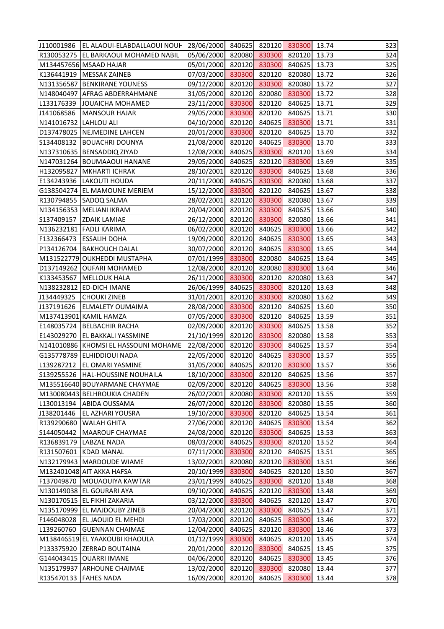|                       | J110001986  EL ALAOUI-ELABDALLAOUI NOUH 28/06/2000  840625  820120  830300 |                                       |        |        |        | 13.74 | 323 |
|-----------------------|----------------------------------------------------------------------------|---------------------------------------|--------|--------|--------|-------|-----|
|                       | R130053275   EL BARKAOUI MOHAMED NABIL                                     | 05/06/2000                            | 820080 | 830300 | 820120 | 13.73 | 324 |
|                       | M134457656 MSAAD HAJAR                                                     | 05/01/2000                            | 820120 | 830300 | 840625 | 13.73 | 325 |
|                       | K136441919   MESSAK ZAINEB                                                 | 07/03/2000                            | 830300 | 820120 | 820080 | 13.72 | 326 |
|                       | N131356587 BENKIRANE YOUNESS                                               | 09/12/2000                            | 820120 | 830300 | 820080 | 13.72 | 327 |
|                       | N148040497 AFRAG ABDERRAHMANE                                              | 31/05/2000                            | 820120 | 820080 | 830300 | 13.72 | 328 |
|                       | L133176339 JJOUAICHA MOHAMED                                               | 23/11/2000                            | 830300 | 820120 | 840625 | 13.71 | 329 |
| J141068586            | <b>MANSOUR HAJAR</b>                                                       | 29/05/2000                            | 830300 | 820120 | 840625 | 13.71 | 330 |
| N141016732 LAHLOU ALI |                                                                            | 04/10/2000                            | 820120 | 840625 | 830300 | 13.71 | 331 |
|                       | D137478025 NEJMEDINE LAHCEN                                                | 20/01/2000                            | 830300 | 820120 | 840625 | 13.70 | 332 |
|                       | S134408132   BOUACHRI DOUNYA                                               | 21/08/2000                            | 820120 | 840625 | 830300 | 13.70 | 333 |
|                       | N137310635  BENSADDIQ ZIYAD                                                | 12/08/2000                            | 840625 | 830300 | 820120 | 13.69 | 334 |
|                       | N147031264 BOUMAAOUI HANANE                                                | 29/05/2000                            | 840625 | 820120 | 830300 | 13.69 | 335 |
|                       | H132095827 MKHARTI ICHRAK                                                  | 28/10/2001                            | 820120 | 830300 | 840625 | 13.68 | 336 |
|                       | E134243936 LAKOUTI HOUDA                                                   | 20/11/2000                            | 840625 | 830300 | 820080 | 13.68 | 337 |
|                       | G138504274 EL MAMOUNE MERIEM                                               | 15/12/2000                            | 830300 | 820120 | 840625 | 13.67 | 338 |
|                       | R130794855 SADOQ SALMA                                                     | 28/02/2001                            | 820120 | 830300 | 820080 | 13.67 | 339 |
|                       | N134156353 MELIANI IKRAM                                                   | 20/04/2000                            | 820120 | 830300 | 840625 | 13.66 | 340 |
|                       | S137409157 ZDAIK LAMIAE                                                    | 26/12/2000                            | 820120 | 830300 | 820080 | 13.66 | 341 |
|                       | N136232181 FADLI KARIMA                                                    | 06/02/2000                            | 820120 | 840625 | 830300 | 13.66 | 342 |
|                       | F132366473 ESSALIH DOHA                                                    | 19/09/2000                            | 820120 | 840625 | 830300 | 13.65 | 343 |
|                       | P134126704   BAKHOUCH DALAL                                                | 30/07/2000                            | 820120 | 840625 | 830300 | 13.65 | 344 |
|                       | M131522779 OUKHEDDI MUSTAPHA                                               | 07/01/1999 830300                     |        | 820080 | 840625 | 13.64 | 345 |
|                       | D137149262 OUFARI MOHAMED                                                  | 12/08/2000                            | 820120 | 820080 | 830300 | 13.64 | 346 |
|                       | K133453567   MELLOUK HALA                                                  | 26/11/2000                            | 830300 | 820120 | 820080 | 13.63 | 347 |
|                       | N138232812 ED-DICH IMANE                                                   | 26/06/1999                            | 840625 | 830300 | 820120 | 13.63 | 348 |
| J134449325            | <b>CHOUKI ZINEB</b>                                                        | 31/01/2001                            | 820120 | 830300 | 820080 | 13.62 | 349 |
| J137191626            | <b>ELMALETY OUMAIMA</b>                                                    | 28/08/2000 830300                     |        | 820120 | 840625 | 13.60 | 350 |
|                       | M137413901 KAMIL HAMZA                                                     | 07/05/2000                            | 830300 | 820120 | 840625 | 13.59 | 351 |
|                       | E148035724 BELBACHIR RACHA                                                 | 02/09/2000                            | 820120 | 830300 | 840625 | 13.58 | 352 |
|                       | E143029270 EL BAKKALI YASSMINE                                             | 21/10/1999 820120                     |        | 830300 | 820080 | 13.58 | 353 |
|                       | N141010886 KHOMSI EL HASSOUNI MOHAME                                       | 22/08/2000 820120 830300 840625 13.57 |        |        |        |       | 354 |
|                       | G135778789 ELHIDDIOUI NADA                                                 | 22/05/2000                            | 820120 | 840625 | 830300 | 13.57 | 355 |
|                       | L139287212   EL OMARI YASMINE                                              | 31/05/2000                            | 840625 | 820120 | 830300 | 13.57 | 356 |
|                       | S139255526   HAL-HOUSSINE NOUHAILA                                         | 18/10/2000                            | 830300 | 820120 | 840625 | 13.56 | 357 |
|                       | M135516640 BOUYARMANE CHAYMAE                                              | 02/09/2000                            | 820120 | 840625 | 830300 | 13.56 | 358 |
|                       | M130080443 BELHROUKIA CHADEN                                               | 26/02/2001                            | 820080 | 830300 | 820120 | 13.55 | 359 |
| L130013194            | <b>ABIDA OUSSAMA</b>                                                       | 26/07/2000                            | 820120 | 830300 | 820080 | 13.55 | 360 |
| J138201446            | <b>EL AZHARI YOUSRA</b>                                                    | 19/10/2000                            | 830300 | 820120 | 840625 | 13.54 | 361 |
|                       | R139290680   WALAH GHITA                                                   | 27/06/2000                            | 820120 | 840625 | 830300 | 13.54 | 362 |
|                       | S144050442   MAAROUF CHAYMAE                                               | 24/08/2000                            | 820120 | 830300 | 840625 | 13.53 | 363 |
|                       | R136839179   LABZAE NADA                                                   | 08/03/2000                            | 840625 | 830300 | 820120 | 13.52 | 364 |
|                       | R131507601 KDAD MANAL                                                      | 07/11/2000                            | 830300 | 820120 | 840625 | 13.51 | 365 |
|                       | N132179943   MARDOUDE WIAME                                                | 13/02/2001                            | 820080 | 820120 | 830300 | 13.51 | 366 |
|                       | M132401048 AIT AKKA HAFSA                                                  | 20/10/1999                            | 830300 | 840625 | 820120 | 13.50 | 367 |
|                       | F137049870 MOUAOUIYA KAWTAR                                                | 23/01/1999                            | 840625 | 830300 | 820120 | 13.48 | 368 |
|                       | N130149038 EL GOURARI AYA                                                  | 09/10/2000                            | 840625 | 820120 | 830300 | 13.48 | 369 |
|                       | N130170515 EL FIKHI ZAKARIA                                                | 03/12/2000                            | 830300 | 840625 | 820120 | 13.47 | 370 |
|                       | N135170999 EL MAJDOUBY ZINEB                                               | 20/04/2000                            | 820120 | 830300 | 840625 | 13.47 | 371 |
|                       | F146048028 EL JAOUID EL MEHDI                                              | 17/03/2000                            | 820120 | 840625 | 830300 | 13.46 | 372 |
|                       | L139260760 GUENNAN CHAIMAE                                                 | 12/04/2000                            | 840625 | 820120 | 830300 | 13.46 | 373 |
|                       | M138446519 EL YAAKOUBI KHAOULA                                             | 01/12/1999                            | 830300 | 840625 | 820120 | 13.45 | 374 |
|                       | P133375920 ZERRAD BOUTAINA                                                 | 20/01/2000                            | 820120 | 830300 | 840625 | 13.45 | 375 |
|                       | G144043415   OUARRI IMANE                                                  | 04/06/2000                            | 820120 | 840625 | 830300 | 13.45 | 376 |
|                       | N135179937 ARHOUNE CHAIMAE                                                 | 13/02/2000                            | 820120 | 830300 | 820080 | 13.44 | 377 |
| R135470133            | <b>FAHES NADA</b>                                                          | 16/09/2000                            | 820120 | 840625 | 830300 | 13.44 | 378 |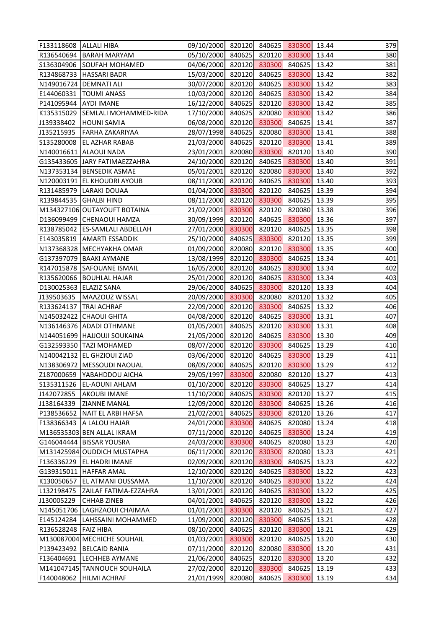| F133118608 ALLALI HIBA |                                  | 09/10/2000 820120 840625 830300       |        |        |        | 13.44 | 379 |
|------------------------|----------------------------------|---------------------------------------|--------|--------|--------|-------|-----|
|                        | R136540694 BARAH MARYAM          | 05/10/2000 840625                     |        | 820120 | 830300 | 13.44 | 380 |
|                        | S136304906 SOUFAH MOHAMED        | 04/06/2000                            | 820120 | 830300 | 840625 | 13.42 | 381 |
|                        | R134868733   HASSARI BADR        | 15/03/2000                            | 820120 | 840625 | 830300 | 13.42 | 382 |
|                        | N149016724   DEMNATI ALI         | 30/07/2000 820120                     |        | 840625 | 830300 | 13.42 | 383 |
|                        | E144060331   TOUMI ANASS         | 10/03/2000                            | 820120 | 840625 | 830300 | 13.42 | 384 |
| P141095944 AYDI IMANE  |                                  | 16/12/2000                            | 840625 | 820120 | 830300 | 13.42 | 385 |
|                        | K135315029 SEMLALI MOHAMMED-RIDA | 17/10/2000                            | 840625 | 820080 | 830300 | 13.42 | 386 |
| J139338402             | <b>HOUNI SAMIA</b>               | 06/08/2000                            | 820120 | 830300 | 840625 | 13.41 | 387 |
| J135215935             | <b>FARHA ZAKARIYAA</b>           | 28/07/1998 840625                     |        | 820080 | 830300 | 13.41 | 388 |
|                        | S135280008   EL AZHAR RABAB      | 21/03/2000                            | 840625 | 820120 | 830300 | 13.41 | 389 |
|                        | N140016611 ALAOUI NADA           | 23/01/2001 820080                     |        | 830300 | 820120 | 13.40 | 390 |
|                        | G135433605 JJARY FATIMAEZZAHRA   | 24/10/2000 820120                     |        | 840625 | 830300 | 13.40 | 391 |
|                        | N137353134 BENSEDIK ASMAE        | 05/01/2001                            | 820120 | 820080 | 830300 | 13.40 | 392 |
|                        | N120003191 EL KHOUDRI AYOUB      | 08/11/2000                            | 820120 | 840625 | 830300 | 13.40 | 393 |
|                        | R131485979 LARAKI DOUAA          | 01/04/2000 830300                     |        | 820120 | 840625 | 13.39 | 394 |
|                        | R139844535 GHALBI HIND           | 08/11/2000 820120                     |        | 830300 | 840625 | 13.39 | 395 |
|                        | M134327106 OUTAYOUFT BOTAINA     | 21/02/2001                            | 830300 | 820120 | 820080 | 13.38 | 396 |
|                        | D136099499 CHENAOUI HAMZA        | 30/09/1999                            | 820120 | 840625 | 830300 | 13.36 | 397 |
|                        | R138785042 ES-SAMLALI ABDELLAH   | 27/01/2000                            | 830300 | 820120 | 840625 | 13.35 | 398 |
|                        | E143035819   AMARTI ESSADDIK     | 25/10/2000                            | 840625 | 830300 | 820120 | 13.35 | 399 |
|                        | N137368328 MECHYAKHA OMAR        | 01/09/2000 820080                     |        | 820120 | 830300 | 13.35 | 400 |
|                        | G137397079   BAAKI AYMANE        | 13/08/1999 820120                     |        | 830300 | 840625 | 13.34 | 401 |
|                        | R147015878 SAFOUANE ISMAIL       | 16/05/2000                            | 820120 | 840625 | 830300 | 13.34 | 402 |
|                        | R135620066  BOUHLAL HAJAR        | 25/01/2000                            | 820120 | 840625 | 830300 | 13.34 | 403 |
| D130025363 ELAZIZ SANA |                                  | 29/06/2000                            | 840625 | 830300 | 820120 | 13.33 | 404 |
|                        | J139503635   MAAZOUZ WISSAL      | 20/09/2000                            | 830300 | 820080 | 820120 | 13.32 | 405 |
|                        | R133624137 TRAI ACHRAF           | 22/09/2000                            | 820120 | 830300 | 840625 | 13.32 | 406 |
|                        | N145032422 CHAOUI GHITA          | 04/08/2000                            | 820120 | 840625 | 830300 | 13.31 | 407 |
|                        | N136146376 ADADI OTHMANE         | 01/05/2001                            | 840625 | 820120 | 830300 | 13.31 | 408 |
|                        | N144051699 HAJJOUJI SOUKAINA     | 21/05/2000 820120                     |        | 840625 | 830300 | 13.30 | 409 |
|                        | G132593350 TAZI MOHAMED          | 08/07/2000 820120 830300 840625 13.29 |        |        |        |       | 410 |
|                        | N140042132 EL GHZIOUI ZIAD       | 03/06/2000                            | 820120 | 840625 | 830300 | 13.29 | 411 |
|                        | N138306972 MESSOUDI NAOUAL       | 08/09/2000                            | 840625 | 820120 | 830300 | 13.29 | 412 |
|                        | Z187000659 YABAHDDOU AICHA       | 29/05/1997                            | 830300 | 820080 | 820120 | 13.27 | 413 |
|                        | S135311526   EL-AOUNI AHLAM      | 01/10/2000                            | 820120 | 830300 | 840625 | 13.27 | 414 |
| J142072855             | <b>AKOUBI IMANE</b>              | 11/10/2000                            | 840625 | 830300 | 820120 | 13.27 | 415 |
| J138164339             | <b>ZIANNE MANAL</b>              | 12/09/2000                            | 820120 | 830300 | 840625 | 13.26 | 416 |
|                        | P138536652 NAIT EL ARBI HAFSA    | 21/02/2001                            | 840625 | 830300 | 820120 | 13.26 | 417 |
|                        | F138366343   A LALOU HAJAR       | 24/01/2000                            | 830300 | 840625 | 820080 | 13.24 | 418 |
|                        | M136535303 BEN ALLAL IKRAM       | 07/11/2000                            | 820120 | 840625 | 830300 | 13.24 | 419 |
|                        | G146044444 BISSAR YOUSRA         | 24/03/2000                            | 830300 | 840625 | 820080 | 13.23 | 420 |
|                        | M131425984 OUDDICH MUSTAPHA      | 06/11/2000                            | 820120 | 830300 | 820080 | 13.23 | 421 |
| F136336229             | <b>EL HADRI IMANE</b>            | 02/09/2000                            | 820120 | 830300 | 840625 | 13.23 | 422 |
|                        | G139315011   HAFFAR AMAL         | 12/10/2000                            | 820120 | 840625 | 830300 | 13.22 | 423 |
| K130050657             | <b>EL ATMANI OUSSAMA</b>         | 11/10/2000                            | 820120 | 840625 | 830300 | 13.22 | 424 |
| L132198475             | <b>ZAILAF FATIMA-EZZAHRA</b>     | 13/01/2001                            | 820120 | 840625 | 830300 | 13.22 | 425 |
| J130005229             | <b>CHHAB ZINEB</b>               | 04/01/2001                            | 840625 | 820120 | 830300 | 13.22 | 426 |
|                        | N145051706   LAGHZAOUI CHAIMAA   | 01/01/2001                            | 830300 | 820120 | 840625 | 13.21 | 427 |
|                        | E145124284  LAHSSAINI MOHAMMED   | 11/09/2000                            | 820120 | 830300 | 840625 | 13.21 | 428 |
| R136528248   FAIZ HIBA |                                  | 08/10/2000                            | 840625 | 820120 | 830300 | 13.21 | 429 |
|                        | M130087004 MECHICHE SOUHAIL      | 01/03/2001                            | 830300 | 820120 | 840625 | 13.20 | 430 |
|                        | P139423492   BELCAID RANIA       | 07/11/2000                            | 820120 | 820080 | 830300 | 13.20 | 431 |
| F136404691             | <b>LECHHEB AYMANE</b>            | 21/06/2000                            | 840625 | 820120 | 830300 | 13.20 | 432 |
|                        | M141047145 TANNOUCH SOUHAILA     | 27/02/2000                            | 820120 | 830300 | 840625 | 13.19 | 433 |
|                        | F140048062   HILMI ACHRAF        | 21/01/1999                            | 820080 | 840625 | 830300 | 13.19 | 434 |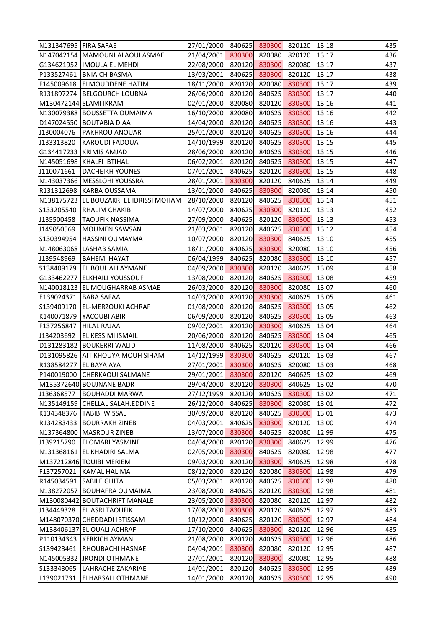| N131347695 FIRA SAFAE    |                                         | 27/01/2000 840625 830300 820120 13.18 |        |        |               |       | 435 |
|--------------------------|-----------------------------------------|---------------------------------------|--------|--------|---------------|-------|-----|
|                          | N147042154 MAMOUNI ALAOUI ASMAE         | 21/04/2001 830300 820080 820120 13.17 |        |        |               |       | 436 |
|                          | G134621952  IMOULA EL MEHDI             | 22/08/2000 820120 830300              |        |        | 820080        | 13.17 | 437 |
|                          | P133527461   BNIAICH BASMA              | 13/03/2001                            | 840625 | 830300 | 820120        | 13.17 | 438 |
|                          | F145009618 ELMOUDDENE HATIM             | 18/11/2000 820120                     |        | 820080 | 830300        | 13.17 | 439 |
|                          | R131897274   BELGOURCH LOUBNA           | 26/06/2000                            | 820120 | 840625 | 830300        | 13.17 | 440 |
|                          | M130472144 SLAMI IKRAM                  | 02/01/2000 820080                     |        |        | 820120 830300 | 13.16 | 441 |
|                          | N130079388 BOUSSETTA OUMAIMA            | 16/10/2000                            | 820080 | 840625 | 830300        | 13.16 | 442 |
|                          | D147024550 BOUTABIA DIAA                | 14/04/2000                            | 820120 | 840625 | 830300        | 13.16 | 443 |
| J130004076               | <b>PAKHROU ANOUAR</b>                   | 25/01/2000 820120 840625              |        |        | 830300        | 13.16 | 444 |
| J133313820               | KAROUDI FADOUA                          | 14/10/1999 820120                     |        | 840625 | 830300        | 13.15 | 445 |
|                          | G134417233 KRIMIS AMJAD                 | 28/06/2000 820120                     |        |        | 840625 830300 | 13.15 | 446 |
|                          | N145051698 KHALFI IBTIHAL               | 06/02/2001 820120                     |        | 840625 | 830300        | 13.15 | 447 |
| J110071661               | <b>DACHEIKH YOUNES</b>                  | 07/01/2001                            | 840625 | 820120 | 830300        | 13.15 | 448 |
|                          | N143037366   MESSLOHI YOUSSRA           | 28/01/2001                            | 830300 | 820120 | 840625        | 13.14 | 449 |
|                          | R131312698   KARBA OUSSAMA              | 13/01/2000 840625                     |        | 830300 | 820080        | 13.14 | 450 |
|                          | N138175723 EL BOUZAKRI EL IDRISSI MOHAM | 28/10/2000 820120                     |        | 840625 | 830300        | 13.14 | 451 |
|                          | S133205540 RHALIM CHAKIB                | 14/07/2000 840625                     |        | 830300 | 820120        | 13.13 | 452 |
| J135500458               | <b>TAOUFIK NASSIMA</b>                  | 27/09/2000                            | 840625 | 820120 | 830300        | 13.13 | 453 |
| J149050569               | <b>MOUMEN SAWSAN</b>                    | 21/03/2001                            | 820120 | 840625 | 830300        | 13.12 | 454 |
|                          | S130394954   HASSINI OUMAYMA            | 10/07/2000 820120 830300              |        |        | 840625        | 13.10 | 455 |
|                          | N148063068   LASHAB SAMIA               | 18/11/2000 840625                     |        | 830300 | 820080        | 13.10 | 456 |
| J139548969               | <b>BAHEMI HAYAT</b>                     | 06/04/1999 840625 820080 830300       |        |        |               | 13.10 | 457 |
|                          | S138409179   EL BOUHALI AYMANE          | 04/09/2000 830300                     |        | 820120 | 840625        | 13.09 | 458 |
|                          | G133462277 ELKHAILI YOUSSOUF            | 13/08/2000 820120                     |        | 840625 | 830300        | 13.08 | 459 |
|                          | N140018123 EL MOUGHARRAB ASMAE          | 26/03/2000 820120 830300              |        |        | 820080        | 13.07 | 460 |
| E139024371   BABA SAFAA  |                                         | 14/03/2000 820120 830300              |        |        | 840625        | 13.05 | 461 |
|                          | S139409170   EL-MERZOUKI ACHRAF         | 01/08/2000 820120 840625              |        |        | 830300        | 13.05 | 462 |
|                          | K140071879   YACOUBI ABIR               | 06/09/2000 820120                     |        | 840625 | 830300        | 13.05 | 463 |
| F137256847   HILAL RAJAA |                                         | 09/02/2001                            | 820120 | 830300 | 840625        | 13.04 | 464 |
| J134203692               | <b>EL KESSIMI ISMAIL</b>                | 20/06/2000 820120 840625 830300 13.04 |        |        |               |       | 465 |
|                          | D131283182 BOUKERRI WALID               | 11/08/2000 840625 820120 830300 13.04 |        |        |               |       | 466 |
|                          | D131095826 AIT KHOUYA MOUH SIHAM        | 14/12/1999                            | 830300 | 840625 | 820120        | 13.03 | 467 |
| R138584277 EL BAYA AYA   |                                         | 27/01/2001                            | 830300 | 840625 | 820080        | 13.03 | 468 |
|                          | P140019000 CHERKAOUI SALMANE            | 29/01/2001                            | 830300 | 820120 | 840625        | 13.02 | 469 |
|                          | M135372640 BOUJNANE BADR                | 29/04/2000                            | 820120 | 830300 | 840625        | 13.02 | 470 |
| J136368577               | <b>BOUHADDI MARWA</b>                   | 27/12/1999                            | 820120 | 840625 | 830300        | 13.02 | 471 |
|                          | N135149159 CHELLAL SALAH.EDDINE         | 26/12/2000                            | 840625 | 830300 | 820080        | 13.01 | 472 |
|                          | K134348376   TABIBI WISSAL              | 30/09/2000                            | 820120 | 840625 | 830300        | 13.01 | 473 |
|                          | R134283433   BOURRAKH ZINEB             | 04/03/2001                            | 840625 | 830300 | 820120        | 13.00 | 474 |
|                          | N137364800 MASROUR ZINEB                | 13/07/2000                            | 830300 | 840625 | 820080        | 12.99 | 475 |
| J139215790               | <b>ELOMARI YASMINE</b>                  | 04/04/2000                            | 820120 | 830300 | 840625        | 12.99 | 476 |
|                          | N131368161 EL KHADIRI SALMA             | 02/05/2000                            | 830300 | 840625 | 820080        | 12.98 | 477 |
|                          | M137212846 TOUIBI MERIEM                | 09/03/2000                            | 820120 | 830300 | 840625        | 12.98 | 478 |
|                          | F137257021 KAMAL HALIMA                 | 08/12/2000                            | 820120 | 820080 | 830300        | 12.98 | 479 |
|                          | R145034591 SABILE GHITA                 | 05/03/2001                            | 820120 | 840625 | 830300        | 12.98 | 480 |
|                          | N138272057 BOUHAFRA OUMAIMA             | 23/08/2000                            | 840625 | 820120 | 830300        | 12.98 | 481 |
|                          | M130080442 BOUTACHRIFT MANALE           | 23/05/2000                            | 830300 | 820080 | 820120        | 12.97 | 482 |
|                          | J134449328   EL ASRI TAOUFIK            | 17/08/2000                            | 830300 | 820120 | 840625        | 12.97 | 483 |
|                          | M148070370 CHEDDADI IBTISSAM            | 10/12/2000                            | 840625 | 820120 | 830300        | 12.97 | 484 |
|                          | M138406137 EL OUALI ACHRAF              | 17/10/2000                            | 840625 | 830300 | 820120        | 12.96 | 485 |
|                          | P110134343 KERKICH AYMAN                | 21/08/2000                            | 820120 | 840625 | 830300        | 12.96 | 486 |
|                          | S139423461  RHOUBACHI HASNAE            | 04/04/2001                            | 830300 | 820080 | 820120        | 12.95 | 487 |
|                          | N145005332 JRONDI OTHMANE               | 27/01/2001                            | 820120 | 830300 | 820080        | 12.95 | 488 |
|                          | S133343065   LAHRACHE ZAKARIAE          | 14/01/2001                            | 820120 | 840625 | 830300        | 12.95 | 489 |
| L139021731               | <b>ELHARSALI OTHMANE</b>                | 14/01/2000                            |        | 840625 | 830300        | 12.95 | 490 |
|                          |                                         |                                       | 820120 |        |               |       |     |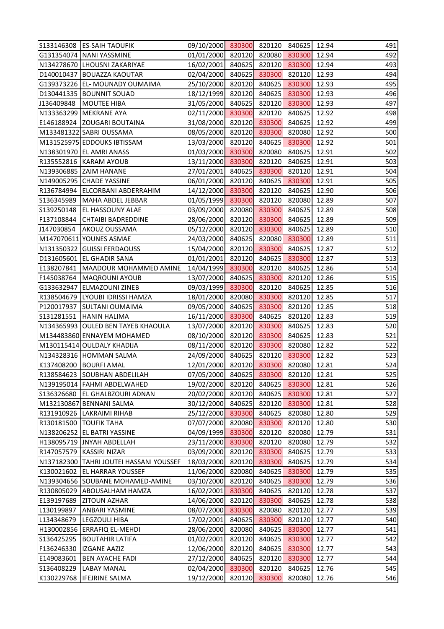|            | S133146308 ES-SAIH TAOUFIK                | 09/10/2000 830300 820120 840625 12.94 |        |        |        |       | 491 |
|------------|-------------------------------------------|---------------------------------------|--------|--------|--------|-------|-----|
|            | G131354074 NANI YASSMINE                  | 01/01/2000 820120 820080              |        |        | 830300 | 12.94 | 492 |
|            | N134278670 LHOUSNI ZAKARIYAE              | 16/02/2001                            | 840625 | 820120 | 830300 | 12.94 | 493 |
|            | D140010437 BOUAZZA KAOUTAR                | 02/04/2000                            | 840625 | 830300 | 820120 | 12.93 | 494 |
|            | G139373226 EL- MOUNADY OUMAIMA            | 25/10/2000 820120                     |        | 840625 | 830300 | 12.93 | 495 |
|            | D130441335   BOUNNIT SOUAD                | 18/12/1999 820120                     |        | 840625 | 830300 | 12.93 | 496 |
|            | J136409848   MOUTEE HIBA                  | 31/05/2000 840625                     |        | 820120 | 830300 | 12.93 | 497 |
|            | N133363299   MEKRANE AYA                  | 02/11/2000                            | 830300 | 820120 | 840625 | 12.92 | 498 |
|            | E146188924 ZOUGARI BOUTAINA               | 31/08/2000                            | 820120 | 830300 | 840625 | 12.92 | 499 |
|            | M133481322 SABRI OUSSAMA                  | 08/05/2000 820120                     |        | 830300 | 820080 | 12.92 | 500 |
|            | M131525975 EDDOUKS IBTISSAM               | 13/03/2000 820120                     |        | 840625 | 830300 | 12.92 | 501 |
|            | N138301970 EL AMRI ANASS                  | 01/03/2000 830300                     |        | 820080 | 840625 | 12.91 | 502 |
|            | R135552816   KARAM AYOUB                  | 13/11/2000 830300                     |        | 820120 | 840625 | 12.91 | 503 |
|            | N139306885 ZAIM HANANE                    | 27/01/2001                            | 840625 | 830300 | 820120 | 12.91 | 504 |
|            | N149005295 CHADE YASSINE                  | 06/01/2000                            | 820120 | 840625 | 830300 | 12.91 | 505 |
|            | R136784994 ELCORBANI ABDERRAHIM           | 14/12/2000 830300                     |        | 820120 | 840625 | 12.90 | 506 |
|            | S136345989   MAHA ABDEL JEBBAR            | 01/05/1999 830300                     |        | 820120 | 820080 | 12.89 | 507 |
|            | S139250148  EL HASSOUNY ALAE              | 03/09/2000 820080                     |        | 830300 | 840625 | 12.89 | 508 |
|            | F137108844 CHTAIBI BADREDDINE             | 28/06/2000                            | 820120 | 830300 | 840625 | 12.89 | 509 |
|            | J147030854 AKOUZ OUSSAMA                  | 05/12/2000                            | 820120 | 830300 | 840625 | 12.89 | 510 |
|            | M147070611 YOUNES ASMAE                   | 24/03/2000 840625                     |        | 820080 | 830300 | 12.89 | 511 |
|            | N131350322 GUISSI FERDAOUSS               | 15/04/2000 820120                     |        | 830300 | 840625 | 12.87 | 512 |
|            | D131605601 EL GHADIR SANA                 | 01/01/2001 820120                     |        | 840625 | 830300 | 12.87 | 513 |
|            | E138207841   MAADOUR MOHAMMED AMINE       | 14/04/1999                            | 830300 | 820120 | 840625 | 12.86 | 514 |
|            | F145038764   MAQROUNI AYOUB               | 13/07/2000                            | 840625 | 830300 | 820120 | 12.86 | 515 |
|            | G133632947 ELMAZOUNI ZINEB                | 09/03/1999 830300                     |        | 820120 | 840625 | 12.85 | 516 |
|            | R138504679 LYOUBI IDRISSI HAMZA           | 18/01/2000                            | 820080 | 830300 | 820120 | 12.85 | 517 |
|            | P120017937 SULTANI OUMAIMA                | 09/05/2000 840625                     |        | 830300 | 820120 | 12.85 | 518 |
|            | S131281551   HANIN HALIMA                 | 16/11/2000 830300                     |        | 840625 | 820120 | 12.83 | 519 |
|            | N134365993 OULED BEN TAYEB KHAOULA        | 13/07/2000                            | 820120 | 830300 | 840625 | 12.83 | 520 |
|            | M134483860 ENNAYEM MOHAMED                | 08/10/2000 820120 830300              |        |        | 840625 | 12.83 | 521 |
|            | M130115414 OULDALY KHADIJA                | 08/11/2000 820120 830300 820080 12.82 |        |        |        |       | 522 |
|            | N134328316 HOMMAN SALMA                   | 24/09/2000                            | 840625 | 820120 | 830300 | 12.82 | 523 |
|            | K137408200 BOURFI AMAL                    | 12/01/2000                            | 820120 | 830300 | 820080 | 12.81 | 524 |
|            | R138584623 SOUBHAN ABDELILAH              | 07/05/2000                            | 840625 | 830300 | 820120 | 12.81 | 525 |
|            | N139195014   FAHMI ABDELWAHED             | 19/02/2000                            | 820120 | 840625 | 830300 | 12.81 | 526 |
|            | S136326680 EL GHALBZOURI ADNAN            | 20/02/2000                            | 820120 | 840625 | 830300 | 12.81 | 527 |
|            | M132130867 BENNANI SALMA                  | 30/12/2000                            | 840625 | 820120 | 830300 | 12.81 | 528 |
|            | R131910926  LAKRAIMI RIHAB                | 25/12/2000                            | 830300 | 840625 | 820080 | 12.80 | 529 |
|            | R130181500 TOUFIK TAHA                    | 07/07/2000                            | 820080 | 830300 | 820120 | 12.80 | 530 |
|            | N138206252 EL BATRI YASSINE               | 04/09/1999                            | 830300 | 820120 | 820080 | 12.79 | 531 |
|            | H138095719 JNYAH ABDELLAH                 | 23/11/2000                            | 830300 | 820120 | 820080 | 12.79 | 532 |
|            | R147057579 KASSIRI NIZAR                  | 03/09/2000                            | 820120 | 830300 | 840625 | 12.79 | 533 |
|            | N137182300   TAHRI JOUTEI HASSANI YOUSSEF | 18/03/2000                            | 820120 | 830300 | 840625 | 12.79 | 534 |
|            | K130021602 EL HARRAR YOUSSEF              | 11/06/2000                            | 820080 | 840625 | 830300 | 12.79 | 535 |
|            | N139304656 SOUBANE MOHAMED-AMINE          | 03/10/2000                            | 820120 | 840625 | 830300 | 12.79 | 536 |
|            | R130805029 ABOUSALHAM HAMZA               | 16/02/2001                            | 830300 | 840625 | 820120 | 12.78 | 537 |
| E139197689 | <b>ZITOUN AZHAR</b>                       | 14/06/2000                            | 820120 | 830300 | 840625 | 12.78 | 538 |
| L130199897 | <b>ANBARI YASMINE</b>                     | 08/07/2000                            | 830300 | 820080 | 820120 | 12.77 | 539 |
| L134348679 | <b>LEGZOULI HIBA</b>                      | 17/02/2001                            | 840625 | 830300 | 820120 | 12.77 | 540 |
|            | H130002856 ERRAFIQ EL-MEHDI               | 28/06/2000                            | 820080 | 840625 | 830300 | 12.77 | 541 |
| S136425295 | <b>BOUTAHIR LATIFA</b>                    | 01/02/2001                            | 820120 | 840625 | 830300 | 12.77 | 542 |
| F136246330 | <b>IZGANE AAZIZ</b>                       | 12/06/2000                            | 820120 | 840625 | 830300 | 12.77 | 543 |
| E149083601 | <b>BEN AYACHE FADI</b>                    | 27/12/2000                            | 840625 | 820120 | 830300 | 12.77 | 544 |
| S136408229 | <b>LABAY MANAL</b>                        | 02/04/2000                            | 830300 | 820120 | 840625 | 12.76 | 545 |
| K130229768 | <b>IFEJRINE SALMA</b>                     | 19/12/2000                            | 820120 | 830300 | 820080 | 12.76 | 546 |
|            |                                           |                                       |        |        |        |       |     |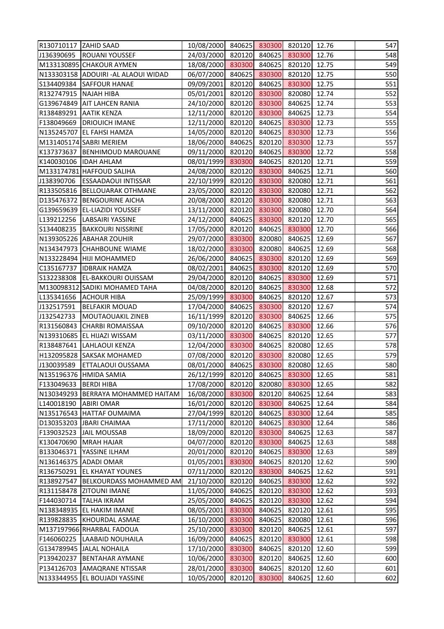| R130710117 ZAHID SAAD   |                                      | 10/08/2000 840625 830300              |        |        | 820120 | 12.76 | 547 |
|-------------------------|--------------------------------------|---------------------------------------|--------|--------|--------|-------|-----|
| J136390695              | <b>ROUANI YOUSSEF</b>                | 24/03/2000                            | 820120 | 840625 | 830300 | 12.76 | 548 |
|                         | M133130895 CHAKOUR AYMEN             | 18/08/2000                            | 830300 | 840625 | 820120 | 12.75 | 549 |
|                         | N133303158 ADOUIRI - AL ALAOUI WIDAD | 06/07/2000                            | 840625 | 830300 | 820120 | 12.75 | 550 |
|                         | S134409384 SAFFOUR HANAE             | 09/09/2001                            | 820120 | 840625 | 830300 | 12.75 | 551 |
| R132747915   NAJAH HIBA |                                      | 05/01/2001                            | 820120 | 830300 | 820080 | 12.74 | 552 |
|                         | G139674849 AIT LAHCEN RANIA          | 24/10/2000                            | 820120 | 830300 | 840625 | 12.74 | 553 |
|                         | R138489291 AATIK KENZA               | 12/11/2000                            | 820120 | 830300 | 840625 | 12.73 | 554 |
|                         | F138049669   DRIOUICH IMANE          | 12/11/2000                            | 820120 | 840625 | 830300 | 12.73 | 555 |
|                         | N135245707 EL FAHSI HAMZA            | 14/05/2000                            | 820120 | 840625 | 830300 | 12.73 | 556 |
|                         | M131405174 SABRI MERIEM              | 18/06/2000                            | 840625 | 820120 | 830300 | 12.73 | 557 |
|                         | K137373637   BENHIMOUD MAROUANE      | 09/11/2000                            | 820120 | 840625 | 830300 | 12.72 | 558 |
|                         | K140030106  IDAH AHLAM               | 08/01/1999                            | 830300 | 840625 | 820120 | 12.71 | 559 |
|                         | M133174781 HAFFOUD SALIHA            | 24/08/2000                            | 820120 | 830300 | 840625 | 12.71 | 560 |
| J138390706              | <b>ESSAADAOUI INTISSAR</b>           | 22/10/1999                            | 820120 | 830300 | 820080 | 12.71 | 561 |
|                         | R133505816   BELLOUARAK OTHMANE      | 23/05/2000                            | 820120 | 830300 | 820080 | 12.71 | 562 |
|                         | D135476372 BENGOURINE AICHA          | 20/08/2000                            | 820120 | 830300 | 820080 | 12.71 | 563 |
|                         | G139659639 EL-LIAZIDI YOUSSEF        | 13/11/2000                            | 820120 | 830300 | 820080 | 12.70 | 564 |
| L139212256              | <b>LABSAIRI YASSINE</b>              | 24/12/2000                            | 840625 | 830300 | 820120 | 12.70 | 565 |
|                         | S134408235   BAKKOURI NISSRINE       | 17/05/2000                            | 820120 | 840625 | 830300 | 12.70 | 566 |
|                         | N139305226 ABAHAR ZOUHIR             | 29/07/2000                            | 830300 | 820080 | 840625 | 12.69 | 567 |
|                         | N134347973 CHAHBOUNE WIAME           | 18/02/2000                            | 830300 | 820080 | 840625 | 12.69 | 568 |
|                         | N133228494  HIJI MOHAMMED            | 26/06/2000                            | 840625 | 830300 | 820120 | 12.69 | 569 |
| C135167737              | <b>IDBRAIK HAMZA</b>                 | 08/02/2001                            | 840625 | 830300 | 820120 | 12.69 | 570 |
|                         | S132238308 EL-BAKKOURI OUISSAM       | 29/04/2000                            | 820120 | 840625 | 830300 | 12.69 | 571 |
|                         | M130098312 SADIKI MOHAMED TAHA       | 04/08/2000                            | 820120 | 840625 | 830300 | 12.68 | 572 |
| L135341656              | <b>ACHOUR HIBA</b>                   | 25/09/1999                            | 830300 | 840625 | 820120 | 12.67 | 573 |
| J132517591              | <b>BELFAKIR MOUAD</b>                | 17/04/2000                            | 840625 | 830300 | 820120 | 12.67 | 574 |
| J132542733              | <b>MOUTAOUAKIL ZINEB</b>             | 16/11/1999                            | 820120 | 830300 | 840625 | 12.66 | 575 |
|                         | R131560843 CHARBI ROMAISSAA          | 09/10/2000                            | 820120 | 840625 | 830300 | 12.66 | 576 |
|                         | N139310685 EL HIJAZI WISSAM          | 03/11/2000 830300                     |        | 840625 | 820120 | 12.65 | 577 |
|                         | R138487641 LAHLAOUI KENZA            | 12/04/2000 830300 840625 820080 12.65 |        |        |        |       | 578 |
|                         | H132095828 SAKSAK MOHAMED            | 07/08/2000                            | 820120 | 830300 | 820080 | 12.65 | 579 |
| J130039589              | ETTALAOUI OUSSAMA                    | 08/01/2000                            | 840625 | 830300 | 820080 | 12.65 | 580 |
|                         | N135196376  HMIDA SAMIA              | 26/12/1999                            | 820120 | 840625 | 830300 | 12.65 | 581 |
| F133049633   BERDI HIBA |                                      | 17/08/2000                            | 820120 | 820080 | 830300 | 12.65 | 582 |
|                         | N130349293 BERRAYA MOHAMMED HAITAM   | 16/08/2000                            | 830300 | 820120 | 840625 | 12.64 | 583 |
| L140018190              | <b>ABIRI OMAR</b>                    | 16/01/2000                            | 820120 | 830300 | 840625 | 12.64 | 584 |
|                         | N135176543 HATTAF OUMAIMA            | 27/04/1999                            | 820120 | 840625 | 830300 | 12.64 | 585 |
|                         | D130353203 JBARI CHAIMAA             | 17/11/2000                            | 820120 | 840625 | 830300 | 12.64 | 586 |
| F139032523              | <b>JAIL MOUSSAB</b>                  | 18/09/2000                            | 820120 | 830300 | 840625 | 12.63 | 587 |
|                         | K130470690 MRAH HAJAR                | 04/07/2000                            | 820120 | 830300 | 840625 | 12.63 | 588 |
|                         | B133046371   YASSINE ILHAM           | 20/01/2000                            | 820120 | 840625 | 830300 | 12.63 | 589 |
|                         | N136146375 ADADI OMAR                | 01/05/2001                            | 830300 | 840625 | 820120 | 12.62 | 590 |
|                         | R136750291   EL KHAYAT YOUNES        | 07/11/2000                            | 820120 | 830300 | 840625 | 12.62 | 591 |
|                         | R138927547   BELKOURDASS MOHAMMED AM | 21/10/2000                            | 820120 | 840625 | 830300 | 12.62 | 592 |
|                         | R131158478 ZITOUNI IMANE             | 11/05/2000                            | 840625 | 820120 | 830300 | 12.62 | 593 |
| F144030714              | <b>TALHA IKRAM</b>                   | 25/05/2000                            | 840625 | 820120 | 830300 | 12.62 | 594 |
|                         | N138348935   EL HAKIM IMANE          | 08/05/2001                            | 830300 | 840625 | 820120 | 12.61 | 595 |
|                         | R139828835  KHOURDAL ASMAE           | 16/10/2000                            | 830300 | 840625 | 820080 | 12.61 | 596 |
|                         | M137197966 RHARBAL FADOUA            | 25/10/2000                            | 830300 | 820120 | 840625 | 12.61 | 597 |
|                         | F146060225  LAABAID NOUHAILA         | 16/09/2000                            | 840625 | 820120 | 830300 | 12.61 | 598 |
|                         | G134789945 JALAL NOHAILA             | 17/10/2000                            | 830300 | 840625 | 820120 | 12.60 | 599 |
| P139420237              | <b>BENTAHAR AYMANE</b>               | 10/06/2000                            | 830300 | 820120 | 840625 | 12.60 | 600 |
|                         | P134126703 AMAQRANE NTISSAR          | 28/01/2000                            | 830300 | 840625 | 820120 | 12.60 | 601 |
|                         | N133344955 EL BOUJADI YASSINE        | 10/05/2000                            | 820120 | 830300 | 840625 | 12.60 | 602 |
|                         |                                      |                                       |        |        |        |       |     |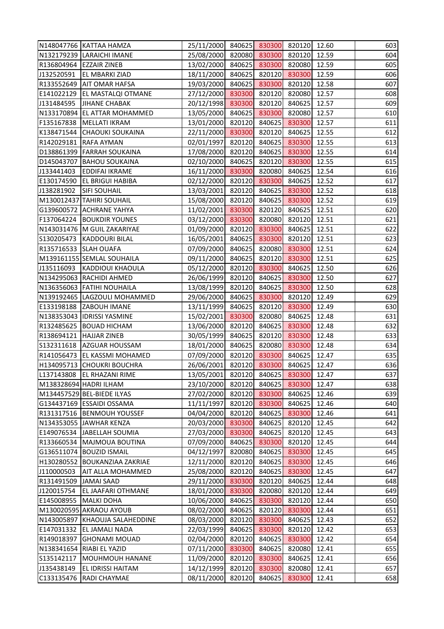|                       | N148047766 KATTAA HAMZA         | 25/11/2000 840625 830300 820120       |        |        |        | 12.60 | 603 |
|-----------------------|---------------------------------|---------------------------------------|--------|--------|--------|-------|-----|
|                       | N132179239 LARAICHI IMANE       | 25/08/2000                            | 820080 | 830300 | 820120 | 12.59 | 604 |
|                       | R136804964 EZZAIR ZINEB         | 13/02/2000                            | 840625 | 830300 | 820080 | 12.59 | 605 |
| J132520591            | <b>EL MBARKI ZIAD</b>           | 18/11/2000                            | 840625 | 820120 | 830300 | 12.59 | 606 |
|                       | R133552649   AIT OMAR HAFSA     | 19/03/2000                            | 840625 | 830300 | 820120 | 12.58 | 607 |
|                       | E141022129   EL MASTALQI OTMANE | 27/12/2000                            | 830300 | 820120 | 820080 | 12.57 | 608 |
| J131484595            | <b>JIHANE CHABAK</b>            | 20/12/1998                            | 830300 | 820120 | 840625 | 12.57 | 609 |
|                       | N133170894 EL ATTAR MOHAMMED    | 13/05/2000                            | 840625 | 830300 | 820080 | 12.57 | 610 |
| F135167838            | <b>MELLATI IKRAM</b>            | 13/01/2000                            | 820120 | 840625 | 830300 | 12.57 | 611 |
| K138471544            | <b>CHAOUKI SOUKAINA</b>         | 22/11/2000                            | 830300 | 820120 | 840625 | 12.55 | 612 |
|                       | R142029181 RAFA AYMAN           | 02/01/1997                            | 820120 | 840625 | 830300 | 12.55 | 613 |
|                       | D138861399   FARRAH SOUKAINA    | 17/08/2000                            | 820120 | 840625 | 830300 | 12.55 | 614 |
|                       | D145043707 BAHOU SOUKAINA       | 02/10/2000                            | 840625 | 820120 | 830300 | 12.55 | 615 |
| J133441403            | <b>EDDIFAI IKRAME</b>           | 16/11/2000                            | 830300 | 820080 | 840625 | 12.54 | 616 |
|                       | E130174590 EL BRIGUI HABIBA     | 02/12/2000                            | 820120 | 830300 | 840625 | 12.52 | 617 |
| J138281902            | <b>SIFI SOUHAIL</b>             | 13/03/2001                            | 820120 | 840625 | 830300 | 12.52 | 618 |
|                       | M130012437 TAHIRI SOUHAIL       | 15/08/2000                            | 820120 | 840625 | 830300 | 12.52 | 619 |
|                       | G139600572 ACHRANE YAHYA        | 11/02/2001                            | 830300 | 820120 | 840625 | 12.51 | 620 |
|                       | F137064224 BOUKDIR YOUNES       | 03/12/2000                            | 830300 | 820080 | 820120 | 12.51 | 621 |
|                       | N143031476   M GUIL ZAKARIYAE   | 01/09/2000                            | 820120 | 830300 | 840625 | 12.51 | 622 |
|                       | S130205473  KADDOURI BILAL      | 16/05/2001                            | 840625 | 830300 | 820120 | 12.51 | 623 |
| R135716533 SLAH OUAFA |                                 | 07/09/2000                            | 840625 | 820080 | 830300 | 12.51 | 624 |
|                       | M139161155 SEMLAL SOUHAILA      | 09/11/2000                            | 840625 | 820120 | 830300 | 12.51 | 625 |
| J135116093            | KADDIOUI KHAOULA                | 05/12/2000                            | 820120 | 830300 | 840625 | 12.50 | 626 |
|                       | N134295063 RACHIDI AHMED        | 26/06/1999                            | 820120 | 840625 | 830300 | 12.50 | 627 |
|                       | N136356063 FATIHI NOUHAILA      | 13/08/1999                            | 820120 | 840625 | 830300 | 12.50 | 628 |
|                       | N139192465  LAGZOULI MOHAMMED   | 29/06/2000                            | 840625 | 830300 | 820120 | 12.49 | 629 |
|                       | E133198188 ZABOUH IMANE         | 13/11/1999                            | 840625 | 820120 | 830300 | 12.49 | 630 |
|                       | N138353043  IDRISSI YASMINE     | 15/02/2001                            | 830300 | 820080 | 840625 | 12.48 | 631 |
|                       | R132485625 BOUAD HICHAM         | 13/06/2000                            | 820120 | 840625 | 830300 | 12.48 | 632 |
|                       | R138694121 HAJJAR ZINEB         | 30/05/1999 840625                     |        | 820120 | 830300 | 12.48 | 633 |
|                       | S132311618 AZGUAR HOUSSAM       | 18/01/2000 840625 820080 830300 12.48 |        |        |        |       | 634 |
|                       | R141056473 EL KASSMI MOHAMED    | 07/09/2000                            | 820120 | 830300 | 840625 | 12.47 | 635 |
|                       | H134095713 CHOUKRI BOUCHRA      | 26/06/2001                            | 820120 | 830300 | 840625 | 12.47 | 636 |
|                       | L137143808   EL RHAZANI RIME    | 13/05/2001                            | 820120 | 840625 | 830300 | 12.47 | 637 |
|                       | M138328694 HADRI ILHAM          | 23/10/2000                            | 820120 | 840625 | 830300 | 12.47 | 638 |
|                       | M134457529 BEL-BIEDE ILYAS      | 27/02/2000                            | 820120 | 830300 | 840625 | 12.46 | 639 |
|                       | G134437169 ESSAIDI OSSAMA       | 11/11/1997                            | 820120 | 830300 | 840625 | 12.46 | 640 |
|                       | R131317516 BENMOUH YOUSSEF      | 04/04/2000                            | 820120 | 840625 | 830300 | 12.46 | 641 |
|                       | N134353055 JAWHAR KENZA         | 20/03/2000                            | 830300 | 840625 | 820120 | 12.45 | 642 |
|                       | E149076534 JABELLAH SOUMIA      | 27/03/2000                            | 830300 | 840625 | 820120 | 12.45 | 643 |
|                       | R133660534   MAJMOUA BOUTINA    | 07/09/2000                            | 840625 | 830300 | 820120 | 12.45 | 644 |
|                       | G136511074   BOUZID ISMAIL      | 04/12/1997                            | 820080 | 840625 | 830300 | 12.45 | 645 |
|                       | H130280552 BOUKANZIAA ZAKRIAE   | 12/11/2000                            | 820120 | 840625 | 830300 | 12.45 | 646 |
| J110000503            | <b>AIT ALLA MOHAMMED</b>        | 25/08/2000                            | 820120 | 840625 | 830300 | 12.45 | 647 |
| R131491509 JAMAI SAAD |                                 | 29/11/2000                            | 830300 | 820120 | 840625 | 12.44 | 648 |
| J120015754            | <b>EL JAAFARI OTHMANE</b>       | 18/01/2000                            | 830300 | 820080 | 820120 | 12.44 | 649 |
| E145008955            | MALKI DOHA                      | 10/06/2000                            | 840625 | 830300 | 820120 | 12.44 | 650 |
|                       | M130020595 AKRAOU AYOUB         | 08/02/2000                            | 840625 | 820120 | 830300 | 12.44 | 651 |
|                       | N143005897 KHAOUJA SALAHEDDINE  | 08/03/2000                            | 820120 | 830300 | 840625 | 12.43 | 652 |
|                       | E147031332 EL JAMALI NADA       | 22/03/1999                            | 840625 | 830300 | 820120 | 12.42 | 653 |
| R149018397            | <b>GHONAMI MOUAD</b>            | 02/04/2000                            | 820120 | 840625 | 830300 | 12.42 | 654 |
|                       | N138341654 RIABI EL YAZID       | 07/11/2000                            | 830300 | 840625 | 820080 | 12.41 | 655 |
| S135142117            | MOUHMOUH HANANE                 | 11/09/2000                            | 820120 | 830300 | 840625 | 12.41 | 656 |
| J135438149            | EL IDRISSI HAITAM               | 14/12/1999                            | 820120 | 830300 | 820080 | 12.41 | 657 |
| C133135476            | <b>RADI CHAYMAE</b>             | 08/11/2000                            | 820120 | 840625 | 830300 | 12.41 | 658 |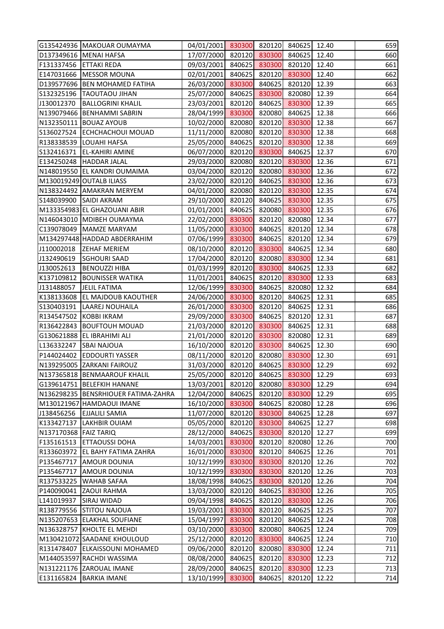|                        | G135424936   MAKOUAR OUMAYMA                                 | 04/01/2001 830300 820120 840625        |                  |        |                  | 12.40          | 659        |
|------------------------|--------------------------------------------------------------|----------------------------------------|------------------|--------|------------------|----------------|------------|
|                        | D137349616 MENAI HAFSA                                       | 17/07/2000 820120                      |                  | 830300 | 840625           | 12.40          | 660        |
| F131337456 ETTAKI REDA |                                                              | 09/03/2001                             | 840625           | 830300 | 820120           | 12.40          | 661        |
|                        | E147031666   MESSOR MOUNA                                    | 02/01/2001                             | 840625           | 820120 | 830300           | 12.40          | 662        |
|                        | D139577696 BEN MOHAMED FATIHA                                | 26/03/2000 830300                      |                  | 840625 | 820120           | 12.39          | 663        |
|                        | S132325196   TAOUTAOU JIHAN                                  | 25/07/2000                             | 840625           | 830300 | 820080           | 12.39          | 664        |
| J130012370             | <b>BALLOGRINI KHALIL</b>                                     | 23/03/2001                             | 820120           | 840625 | 830300           | 12.39          | 665        |
|                        | N139079466 BENHAMMI SABRIN                                   | 28/04/1999                             | 830300           | 820080 | 840625           | 12.38          | 666        |
|                        | N132350111 BOUAZ AYOUB                                       | 10/02/2000                             | 820080           | 820120 | 830300           | 12.38          | 667        |
|                        | S136027524 ECHCHACHOUI MOUAD                                 | 11/11/2000                             | 820080           | 820120 | 830300           | 12.38          | 668        |
|                        | R138338539 LOUAHI HAFSA                                      | 25/05/2000                             | 840625           | 820120 | 830300           | 12.38          | 669        |
|                        | S132416371 EL-KAHIRI AMINE                                   | 06/07/2000 820120                      |                  | 830300 | 840625           | 12.37          | 670        |
|                        | E134250248  HADDAR JALAL                                     | 29/03/2000 820080                      |                  | 820120 | 830300           | 12.36          | 671        |
|                        | N148019550 EL KANDRI OUMAIMA                                 | 03/04/2000                             | 820120           | 820080 | 830300           | 12.36          | 672        |
|                        | M130019249 OUTALB ILIASS                                     | 23/02/2000                             | 820120           | 840625 | 830300           | 12.36          | 673        |
|                        | N138324492 AMAKRAN MERYEM                                    | 04/01/2000                             | 820080           | 820120 | 830300           | 12.35          | 674        |
|                        | S148039900 SAIDI AKRAM                                       | 29/10/2000                             | 820120           | 840625 | 830300           | 12.35          | 675        |
|                        | M133354983 EL GHAZOUANI ABIR                                 | 01/01/2001                             | 840625           | 820080 | 830300           | 12.35          | 676        |
|                        | N146043010   MDIBEH OUMAYMA                                  | 22/02/2000                             | 830300           | 820120 | 820080           | 12.34          | 677        |
|                        | C139078049   MAMZE MARYAM                                    | 11/05/2000                             | 830300           | 840625 | 820120           | 12.34          | 678        |
|                        | M134297448 HADDAD ABDERRAHIM                                 | 07/06/1999                             | 830300           | 840625 | 820120           | 12.34          | 679        |
| J110002018             | <b>ZEHAF MERIEM</b>                                          | 08/10/2000 820120                      |                  | 830300 | 840625           | 12.34          | 680        |
| J132490619             | <b>SGHOURI SAAD</b>                                          | 17/04/2000                             | 820120           | 820080 | 830300           | 12.34          | 681        |
| J130052613             |                                                              |                                        | 820120           | 830300 | 840625           | 12.33          | 682        |
|                        | <b>BENOUZZI HIBA</b><br>K137109812 BOUNISSER WATIKA          | 01/03/1999<br>11/01/2001               | 840625           | 820120 | 830300           | 12.33          | 683        |
| J131488057             | <b>JELIL FATIMA</b>                                          | 12/06/1999                             | 830300           | 840625 | 820080           | 12.32          | 684        |
|                        | K138133608 EL MAJDOUB KAOUTHER                               |                                        | 830300           | 820120 |                  | 12.31          | 685        |
|                        |                                                              | 24/06/2000                             |                  |        | 840625           | 12.31          |            |
|                        | S130403191  LAAREJ NOUHAILA                                  | 26/01/2000 830300                      |                  | 820120 | 840625           |                | 686        |
|                        | R134547502 KOBBI IKRAM                                       | 29/09/2000                             | 830300<br>820120 | 840625 | 820120           | 12.31          | 687        |
|                        | R136422843 BOUFTOUH MOUAD<br>G130621888 EL IBRAHIMI ALI      | 21/03/2000<br>21/01/2000 820120 830300 |                  | 830300 | 840625<br>820080 | 12.31<br>12.31 | 688<br>689 |
|                        | L136332247 SBAI NAJOUA                                       | 16/10/2000 820120 830300 840625 12.30  |                  |        |                  |                | 690        |
|                        | P144024402 EDDOURTI YASSER                                   | 08/11/2000                             | 820120           | 820080 | 830300           | 12.30          | 691        |
|                        | N139295005 ZARKANI FAIROUZ                                   | 31/03/2000                             | 820120           | 840625 | 830300           | 12.29          | 692        |
|                        |                                                              |                                        |                  |        |                  |                | 693        |
|                        | N137365818   BENMAAROUF KHALIL<br>G139614751 BELEFKIH HANANE | 25/05/2000                             | 820120           | 840625 | 830300           | 12.29          |            |
|                        |                                                              | 13/03/2001                             | 820120           | 820080 | 830300           | 12.29          | 694        |
|                        | N136298235   BENSRHIOUER FATIMA-ZAHRA                        | 12/04/2000                             | 840625           | 820120 | 830300           | 12.29          | 695        |
|                        | M130121967 HAMDAOUI IMANE                                    | 16/10/2000                             | 830300           | 840625 | 820080           | 12.28          | 696        |
| J138456256             | <b>EJJALILI SAMIA</b>                                        | 11/07/2000                             | 820120           | 830300 | 840625           | 12.28          | 697        |
| K133427137             | <b>LAKHBIR OUIAM</b>                                         | 05/05/2000                             | 820120           | 830300 | 840625           | 12.27          | 698        |
| N137170368 FAIZ TARIQ  |                                                              | 28/12/2000                             | 840625           | 830300 | 820120           | 12.27          | 699        |
|                        | F135161513 ETTAOUSSI DOHA                                    | 14/03/2001                             | 830300           | 820120 | 820080           | 12.26          | 700        |
|                        | R133603972 EL BAHY FATIMA ZAHRA                              | 16/01/2000                             | 830300           | 820120 | 840625           | 12.26          | 701        |
| P135467717             | <b>AMOUR DOUNIA</b>                                          | 10/12/1999                             | 830300           | 830300 | 820120           | 12.26          | 702        |
| P135467717             | <b>AMOUR DOUNIA</b>                                          | 10/12/1999                             | 830300           | 830300 | 820120           | 12.26          | 703        |
|                        | R137533225   WAHAB SAFAA                                     | 18/08/1998                             | 840625           | 830300 | 820120           | 12.26          | 704        |
|                        | P140090041 ZAOUI RAHMA                                       | 13/03/2000                             | 820120           | 840625 | 830300           | 12.26          | 705        |
| L141019937             | <b>SIRAJ WIDAD</b>                                           | 09/04/1998                             | 840625           | 820120 | 830300           | 12.26          | 706        |
|                        | R138779556 STITOU NAJOUA                                     | 19/03/2001                             | 830300           | 820120 | 840625           | 12.25          | 707        |
|                        | N135207653 ELAKHAL SOUFIANE                                  | 15/04/1997                             | 830300           | 820120 | 840625           | 12.24          | 708        |
|                        | N136328757 KHOLTE EL MEHDI                                   | 03/10/2000                             | 830300           | 820080 | 840625           | 12.24          | 709        |
|                        | M130421072 SAADANE KHOULOUD                                  | 25/12/2000                             | 820120           | 830300 | 840625           | 12.24          | 710        |
|                        | R131478407 ELKAISSOUNI MOHAMED                               | 09/06/2000                             | 820120           | 820080 | 830300           | 12.24          | 711        |
|                        | M144053597 RACHDI WASSIMA                                    | 08/08/2000                             | 840625           | 820120 | 830300           | 12.23          | 712        |
|                        | N131221176 ZAROUAL IMANE                                     | 28/09/2000                             | 840625           | 820120 | 830300           | 12.23          | 713        |
| E131165824             | <b>BARKIA IMANE</b>                                          | 13/10/1999                             | 830300           | 840625 | 820120           | 12.22          | 714        |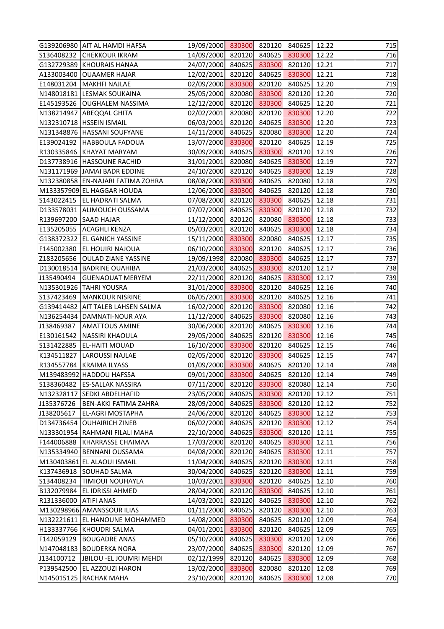|                         | G139206980 AIT AL HAMDI HAFSA       | 19/09/2000 830300                     |        | 820120 | 840625 | 12.22 | 715 |
|-------------------------|-------------------------------------|---------------------------------------|--------|--------|--------|-------|-----|
|                         | S136408232 CHEKKOUR IKRAM           | 14/09/2000 820120                     |        | 840625 | 830300 | 12.22 | 716 |
|                         | G132729389 KHOURAIS HANAA           | 24/07/2000                            | 840625 | 830300 | 820120 | 12.21 | 717 |
|                         | A133003400 OUAAMER HAJAR            | 12/02/2001                            | 820120 | 840625 | 830300 | 12.21 | 718 |
|                         | E148031204   MAKHFI NAJLAE          | 02/09/2000                            | 830300 | 820120 | 840625 | 12.20 | 719 |
|                         | N148018181 LESMAK SOUKAINA          | 25/05/2000                            | 820080 | 830300 | 820120 | 12.20 | 720 |
|                         | E145193526 OUGHALEM NASSIMA         | 12/12/2000                            | 820120 | 830300 | 840625 | 12.20 | 721 |
|                         | N138214947 ABEQQAL GHITA            | 02/02/2001                            | 820080 | 820120 | 830300 | 12.20 | 722 |
|                         | N132310718 HSSEIN ISMAIL            | 06/03/2001                            | 820120 | 840625 | 830300 | 12.20 | 723 |
|                         | N131348876 HASSANI SOUFYANE         | 14/11/2000                            | 840625 | 820080 | 830300 | 12.20 | 724 |
|                         | E139024192   HABBOULA FADOUA        | 13/07/2000                            | 830300 | 820120 | 840625 | 12.19 | 725 |
|                         | R130335846 KHAYAT MARYAM            | 30/09/2000                            | 840625 | 830300 | 820120 | 12.19 | 726 |
|                         | D137738916  HASSOUNE RACHID         | 31/01/2001                            | 820080 | 840625 | 830300 | 12.19 | 727 |
|                         | N131171969 JAMAI BADR EDDINE        | 24/10/2000                            | 820120 | 840625 | 830300 | 12.19 | 728 |
|                         | N132380858 EN-NAJARI FATIMA ZOHRA   | 08/08/2000                            | 830300 | 840625 | 820080 | 12.18 | 729 |
|                         | M133357909 EL HAGGAR HOUDA          | 12/06/2000                            | 830300 | 840625 | 820120 | 12.18 | 730 |
|                         | S143022415   EL HADRATI SALMA       | 07/08/2000                            | 820120 | 830300 | 840625 | 12.18 | 731 |
|                         | D133578031 ALIMOUCH OUSSAMA         | 07/07/2000                            | 840625 | 830300 | 820120 | 12.18 | 732 |
| R139697200 SAAD HAJAR   |                                     | 11/12/2000                            | 820120 | 820080 | 830300 | 12.18 | 733 |
|                         | E135205055 ACAGHLI KENZA            | 05/03/2001                            | 820120 | 840625 | 830300 | 12.18 | 734 |
|                         | G138372322 EL GANICH YASSINE        | 15/11/2000 830300                     |        | 820080 | 840625 | 12.17 | 735 |
|                         | F145002380 EL HOUIRI NAJOUA         | 06/10/2000 830300                     |        | 820120 | 840625 | 12.17 | 736 |
|                         | Z183205656   OULAD ZIANE YASSINE    | 19/09/1998                            | 820080 | 830300 | 840625 | 12.17 | 737 |
|                         | D130018514   BADRINE OUAHIBA        | 21/03/2000                            | 840625 | 830300 | 820120 | 12.17 | 738 |
| J135490494              | <b>GUENAOUAT MERYEM</b>             | 22/11/2000                            | 820120 | 840625 | 830300 | 12.17 | 739 |
|                         | N135301926 TAHRI YOUSRA             | 31/01/2000                            | 830300 | 820120 | 840625 | 12.16 | 740 |
|                         | S137423469   MANKOUR NISRINE        | 06/05/2001                            | 830300 | 820120 | 840625 | 12.16 | 741 |
|                         | G139414482   AIT TALEB LAHSEN SALMA | 16/02/2000 820120                     |        | 830300 | 820080 | 12.16 | 742 |
|                         | N136254434   DAMNATI-NOUR AYA       | 11/12/2000                            | 840625 | 830300 | 820080 | 12.16 | 743 |
| J138469387              | <b>AMATTOUS AMINE</b>               | 30/06/2000                            | 820120 | 840625 | 830300 | 12.16 | 744 |
|                         | E130161542   NASSIRI KHAOULA        | 29/05/2000 840625                     |        | 820120 | 830300 | 12.16 | 745 |
|                         | S131422885 EL-HAITI MOUAD           | 16/10/2000 830300 820120 840625 12.15 |        |        |        |       | 746 |
| K134511827              | LAROUSSI NAJLAE                     | 02/05/2000                            | 820120 | 830300 | 840625 | 12.15 | 747 |
|                         | R134557784 KRAIMA ILYASS            | 01/09/2000                            | 830300 | 840625 | 820120 | 12.14 | 748 |
|                         | M139483992 HADDOU HAFSSA            | 09/01/2000                            | 830300 | 840625 | 820120 | 12.14 | 749 |
|                         | S138360482 ES-SALLAK NASSIRA        | 07/11/2000                            | 820120 | 830300 | 820080 | 12.14 | 750 |
|                         | N132328117 SEDKI ABDELHAFID         | 23/05/2000                            | 840625 | 830300 | 820120 | 12.12 | 751 |
| J135376726              | <b>BEN-AKKI FATIMA ZAHRA</b>        | 28/09/2000                            | 840625 | 830300 | 820120 | 12.12 | 752 |
| J138205617              | <b>EL-AGRI MOSTAPHA</b>             | 24/06/2000                            | 820120 | 840625 | 830300 | 12.12 | 753 |
|                         | D134736454 OUHAIRICH ZINEB          | 06/02/2000                            | 840625 | 820120 | 830300 | 12.12 | 754 |
|                         | N133301954 RAHMANI FILALI MAHA      | 22/10/2000                            | 840625 | 830300 | 820120 | 12.11 | 755 |
| F144006888              | <b>KHARRASSE CHAIMAA</b>            | 17/03/2000                            | 820120 | 840625 | 830300 | 12.11 | 756 |
|                         | N135334940 BENNANI OUSSAMA          | 04/08/2000                            | 820120 | 840625 | 830300 | 12.11 | 757 |
|                         | M130403861 EL ALAOUI ISMAIL         | 11/04/2000                            | 840625 | 820120 | 830300 | 12.11 | 758 |
|                         | K137436918 SOUHAD SALMA             | 30/04/2000                            | 840625 | 820120 | 830300 | 12.11 | 759 |
| \$134408234             | <b>TIMIOUI NOUHAYLA</b>             | 10/03/2001                            | 830300 | 820120 | 840625 | 12.10 | 760 |
|                         | B132079984 EL IDRISSI AHMED         | 28/04/2000                            | 820120 | 830300 | 840625 | 12.10 | 761 |
| R131336000   ATIFI ANAS |                                     | 14/03/2001                            | 820120 | 840625 | 830300 | 12.10 | 762 |
|                         | M130298966 AMANSSOUR ILIAS          | 01/11/2000                            | 840625 | 820120 | 830300 | 12.10 | 763 |
|                         | N132221611 EL HANOUNE MOHAMMED      | 14/08/2000                            | 830300 | 840625 | 820120 | 12.09 | 764 |
|                         | H133337766 KHOUDRI SALMA            | 04/01/2001                            | 830300 | 820120 | 840625 | 12.09 | 765 |
| F142059129              | <b>BOUGADRE ANAS</b>                | 05/10/2000                            | 840625 | 830300 | 820120 | 12.09 | 766 |
|                         | N147048183 BOUDERKA NORA            | 23/07/2000                            | 840625 | 830300 | 820120 | 12.09 | 767 |
| J134100712              | JBILOU - EL JOUMRI MEHDI            | 02/12/1999                            | 820120 | 840625 | 830300 | 12.09 | 768 |
| P139542500              | <b>EL AZZOUZI HARON</b>             | 13/02/2000                            | 830300 | 820080 | 820120 | 12.08 | 769 |
|                         | N145015125 RACHAK MAHA              | 23/10/2000                            | 820120 | 840625 | 830300 | 12.08 | 770 |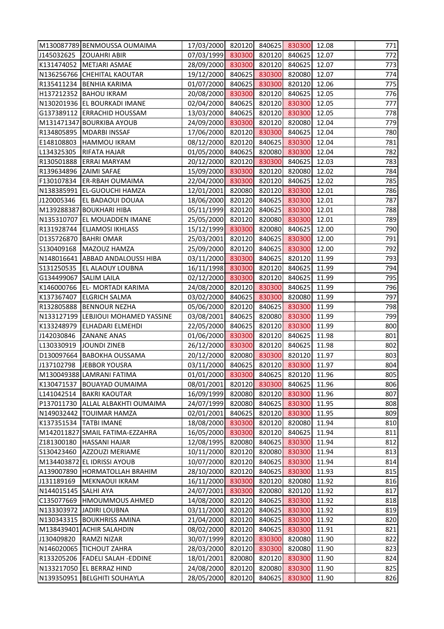|                          | M130087789 BENMOUSSA OUMAIMA        | 17/03/2000 820120                     |        |        | 840625 830300 | 12.08 | 771 |
|--------------------------|-------------------------------------|---------------------------------------|--------|--------|---------------|-------|-----|
| J145032625               | <b>ZOUAHRI ABIR</b>                 | 07/03/1999 830300                     |        | 820120 | 840625        | 12.07 | 772 |
|                          | K131474052   METJARI ASMAE          | 28/09/2000                            | 830300 | 820120 | 840625        | 12.07 | 773 |
|                          | N136256766 CHEHITAL KAOUTAR         | 19/12/2000                            | 840625 | 830300 | 820080        | 12.07 | 774 |
|                          | R135411234   BENHIA KARIMA          | 01/07/2000                            | 840625 | 830300 | 820120        | 12.06 | 775 |
|                          | H137212352   BAHOU IKRAM            | 20/08/2000                            | 830300 | 820120 | 840625        | 12.05 | 776 |
|                          | N130201936 EL BOURKADI IMANE        | 02/04/2000                            | 840625 | 820120 | 830300        | 12.05 | 777 |
|                          | G137389112 ERRACHID HOUSSAM         | 13/03/2000                            | 840625 | 820120 | 830300        | 12.05 | 778 |
|                          | M131471347 BOURKIBA AYOUB           | 24/09/2000                            | 830300 | 820120 | 820080        | 12.04 | 779 |
|                          | R134805895   MDARBI INSSAF          | 17/06/2000                            | 820120 | 830300 | 840625        | 12.04 | 780 |
|                          | E148108803   HAMMOU IKRAM           | 08/12/2000                            | 820120 | 840625 | 830300        | 12.04 | 781 |
| L134325305               | <b>RIFATA HAJAR</b>                 | 01/05/2000                            | 840625 | 820080 | 830300        | 12.04 | 782 |
|                          | R130501888 ERRAI MARYAM             | 20/12/2000                            | 820120 | 830300 | 840625        | 12.03 | 783 |
| R139634896   ZAIMI SAFAE |                                     | 15/09/2000                            | 830300 | 820120 | 820080        | 12.02 | 784 |
|                          | F130107834 ER-RBAH OUMAIMA          | 22/04/2000                            | 830300 | 820120 | 840625        | 12.02 | 785 |
|                          | N138385991 EL-GUOUCHI HAMZA         | 12/01/2001                            | 820080 | 820120 | 830300        | 12.01 | 786 |
| J120005346               | <b>EL BADAOUI DOUAA</b>             | 18/06/2000                            | 820120 | 840625 | 830300        | 12.01 | 787 |
|                          | M139288387 BOUKHARI HIBA            | 05/11/1999                            | 820120 | 840625 | 830300        | 12.01 | 788 |
|                          | N135310707 EL MOUADDEN IMANE        | 25/05/2000                            | 820120 | 820080 | 830300        | 12.01 | 789 |
|                          | R131928744 ELJAMOSI IKHLASS         | 15/12/1999                            | 830300 | 820080 | 840625        | 12.00 | 790 |
|                          | D135726870   BAHRI OMAR             | 25/03/2001                            | 820120 | 840625 | 830300        | 12.00 | 791 |
|                          | S130409168   MAZOUZ HAMZA           | 25/09/2000                            | 820120 | 840625 | 830300        | 12.00 | 792 |
|                          | N148016641 ABBAD ANDALOUSSI HIBA    | 03/11/2000                            | 830300 | 840625 | 820120        | 11.99 | 793 |
|                          | S131250535 EL ALAOUY LOUBNA         | 16/11/1998                            | 830300 | 820120 | 840625        | 11.99 | 794 |
| G134499067 SALIM LAILA   |                                     | 02/12/2000                            | 830300 | 820120 | 840625        | 11.99 | 795 |
|                          | K146000766 EL- MORTADI KARIMA       | 24/08/2000                            | 820120 | 830300 | 840625        | 11.99 | 796 |
|                          | K137367407 ELGRICH SALMA            | 03/02/2000                            | 840625 | 830300 | 820080        | 11.99 | 797 |
|                          | R132805888  BENNOUR NEZHA           | 05/06/2000                            | 820120 | 840625 | 830300        | 11.99 | 798 |
|                          | N133127199 LEBJIOUI MOHAMED YASSINE | 03/08/2001                            | 840625 | 820080 | 830300        | 11.99 | 799 |
| K133248979               | <b>ELHADARI ELMEHDI</b>             | 22/05/2000                            | 840625 | 820120 | 830300        | 11.99 | 800 |
| J142030846               | <b>ZANANE ANAS</b>                  | 01/06/2000 830300                     |        | 820120 | 840625        | 11.98 | 801 |
|                          | L130330919   JOUNDI ZINEB           | 26/12/2000 830300 820120 840625 11.98 |        |        |               |       | 802 |
|                          | D130097664 BABOKHA OUSSAMA          | 20/12/2000                            | 820080 | 830300 | 820120        | 11.97 | 803 |
| J137102798               | JEBBOR YOUSRA                       | 03/11/2000                            | 840625 | 820120 | 830300        | 11.97 | 804 |
|                          | M130049388 LAMRANI FATIMA           | 01/01/2000                            | 830300 | 840625 | 820120        | 11.96 | 805 |
|                          | K130471537   BOUAYAD OUMAIMA        | 08/01/2001                            | 820120 | 830300 | 840625        | 11.96 | 806 |
| L141042514               | <b>BAKRI KAOUTAR</b>                | 16/09/1999                            | 820080 | 820120 | 830300        | 11.96 | 807 |
|                          | P137011730 ALLAL ALBAKHTI OUMAIMA   | 24/07/1999                            | 820080 | 840625 | 830300        | 11.95 | 808 |
|                          | N149032442  TOUIMAR HAMZA           | 02/01/2001                            | 840625 | 820120 | 830300        | 11.95 | 809 |
|                          | K137351534   TATBI IMANE            | 18/08/2000                            | 830300 | 820120 | 820080        | 11.94 | 810 |
|                          | M142011827 SMAIL FATIMA-EZZAHRA     | 16/05/2000                            | 830300 | 820120 | 840625        | 11.94 | 811 |
| Z181300180               | <b>HASSANI HAJAR</b>                | 12/08/1995                            | 820080 | 840625 | 830300        | 11.94 | 812 |
| S130423460               | <b>AZZOUZI MERIAME</b>              | 10/11/2000                            | 820120 | 820080 | 830300        | 11.94 | 813 |
|                          | M134403872 EL IDRISSI AYOUB         | 10/07/2000                            | 820120 | 840625 | 830300        | 11.94 | 814 |
|                          | A139007890  HORMATOLLAH BRAHIM      | 28/10/2000                            | 820120 | 840625 | 830300        | 11.93 | 815 |
| J131189169               | MEKNAOUI IKRAM                      | 16/11/2000                            | 830300 | 820120 | 820080        | 11.92 | 816 |
| N144015145 SALHI AYA     |                                     | 24/07/2001                            | 830300 | 820080 | 820120        | 11.92 | 817 |
|                          | C135077669  HMOUMMOUS AHMED         | 14/08/2000                            | 820120 | 840625 | 830300        | 11.92 | 818 |
|                          | N133303972 JJADIRI LOUBNA           | 03/11/2000                            | 820120 | 840625 | 830300        | 11.92 | 819 |
|                          | N130343315 BOUKHRISS AMINA          | 21/04/2000                            | 820120 | 840625 | 830300        | 11.92 | 820 |
|                          | M138439401 ACHIR SALAHDIN           | 08/02/2000                            | 820120 | 840625 | 830300        | 11.91 | 821 |
| J130409820               | <b>RAMZI NIZAR</b>                  | 30/07/1999                            | 820120 | 830300 | 820080        | 11.90 | 822 |
|                          | N146020065  TICHOUT ZAHRA           | 28/03/2000                            | 820120 | 830300 | 820080        | 11.90 | 823 |
|                          | R133205206   FADELI SALAH - EDDINE  | 18/01/2001                            | 820080 | 820120 | 830300        | 11.90 | 824 |
|                          | N133217050 EL BERRAZ HIND           | 24/08/2000                            | 820120 | 820080 | 830300        | 11.90 | 825 |
|                          | N139350951 BELGHITI SOUHAYLA        | 28/05/2000                            | 820120 | 840625 | 830300        | 11.90 | 826 |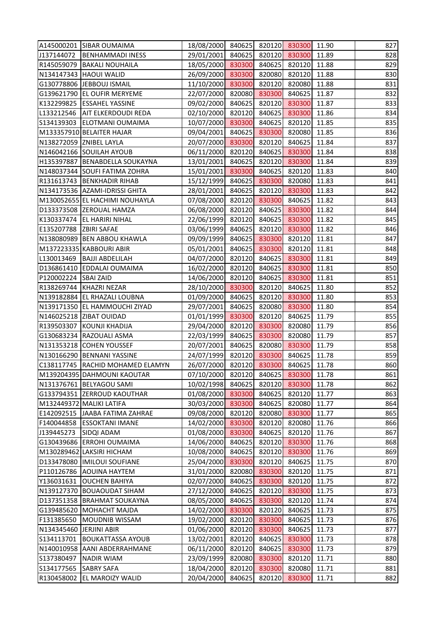|                          | A145000201 SIBAR OUMAIMA           | 18/08/2000 840625                     |        |        | 820120 830300 | 11.90 | 827 |
|--------------------------|------------------------------------|---------------------------------------|--------|--------|---------------|-------|-----|
| J137144072               | <b>BENHAMMADI INESS</b>            | 29/01/2001                            | 840625 | 820120 | 830300        | 11.89 | 828 |
|                          | R145059079 BAKALI NOUHAILA         | 18/05/2000                            | 830300 | 840625 | 820120        | 11.88 | 829 |
|                          | N134147343   HAOUI WALID           | 26/09/2000                            | 830300 | 820080 | 820120        | 11.88 | 830 |
|                          | G130778806  JEBBOUJ ISMAIL         | 11/10/2000                            | 830300 | 820120 | 820080        | 11.88 | 831 |
|                          | G139621790 EL OUFIR MERYEME        | 22/07/2000                            | 820080 | 830300 | 840625        | 11.87 | 832 |
|                          | K132299825 ESSAHEL YASSINE         | 09/02/2000                            | 840625 | 820120 | 830300        | 11.87 | 833 |
|                          | L133212546   AIT ELKERDOUDI REDA   | 02/10/2000                            | 820120 | 840625 | 830300        | 11.86 | 834 |
|                          | S134139303 ELOTMANI OUMAIMA        | 10/07/2000                            | 830300 | 840625 | 820120        | 11.85 | 835 |
|                          | M133357910 BELAITER HAJAR          | 09/04/2001                            | 840625 | 830300 | 820080        | 11.85 | 836 |
|                          | N138272059 ZNIBEL LAYLA            | 20/07/2000                            | 830300 | 820120 | 840625        | 11.84 | 837 |
|                          | N146042166 SOUILAH AYOUB           | 06/11/2000                            | 820120 | 840625 | 830300        | 11.84 | 838 |
|                          | H135397887 BENABDELLA SOUKAYNA     | 13/01/2001                            | 840625 | 820120 | 830300        | 11.84 | 839 |
|                          | N148037344 SOUFI FATIMA ZOHRA      | 15/01/2001                            | 830300 | 840625 | 820120        | 11.83 | 840 |
|                          | R131613743 BENKHADIR RIHAB         | 15/12/1999                            | 840625 | 830300 | 820080        | 11.83 | 841 |
|                          | N134173536   AZAMI-IDRISSI GHITA   | 28/01/2001                            | 840625 | 820120 | 830300        | 11.83 | 842 |
|                          | M130052655 EL HACHIMI NOUHAYLA     | 07/08/2000                            | 820120 | 830300 | 840625        | 11.82 | 843 |
|                          | D133373508 ZEROUAL HAMZA           | 06/08/2000                            | 820120 | 840625 | 830300        | 11.82 | 844 |
|                          | K130337474 EL HARIRI NIHAL         | 22/06/1999                            | 820120 | 840625 | 830300        | 11.82 | 845 |
| E135207788 ZBIRI SAFAE   |                                    | 03/06/1999                            | 840625 | 820120 | 830300        | 11.82 | 846 |
|                          | N138080989 BEN ABBOU KHAWLA        | 09/09/1999                            | 840625 | 830300 | 820120        | 11.81 | 847 |
|                          | M137223335 KABBOURI ABIR           | 05/01/2001                            | 840625 | 830300 | 820120        | 11.81 | 848 |
| L130013469               | <b>BAJJI ABDELILAH</b>             | 04/07/2000                            | 820120 | 840625 | 830300        | 11.81 | 849 |
|                          | D136861410 EDDALAI OUMAIMA         | 16/02/2000                            | 820120 | 840625 | 830300        | 11.81 | 850 |
| P120002224 SBAI ZAID     |                                    | 14/06/2000                            | 820120 | 840625 | 830300        | 11.81 | 851 |
|                          | R138269744 KHAZRI NEZAR            | 28/10/2000                            | 830300 | 820120 | 840625        | 11.80 | 852 |
|                          | N139182884 EL RHAZALI LOUBNA       | 01/09/2000                            | 840625 | 820120 | 830300        | 11.80 | 853 |
|                          | N139171350 EL HAMMOUCHI ZIYAD      | 29/07/2001                            | 840625 | 820080 | 830300        | 11.80 | 854 |
|                          | N146025218 ZIBAT OUIDAD            | 01/01/1999                            | 830300 | 820120 | 840625        | 11.79 | 855 |
|                          | R139503307 KOUNJI KHADIJA          | 29/04/2000                            | 820120 | 830300 | 820080        | 11.79 | 856 |
|                          | G130683234 RAZOUALI ASMA           | 22/03/1999                            | 840625 | 830300 | 820080        | 11.79 | 857 |
|                          | N131353218 COHEN YOUSSEF           | 20/07/2001 840625 820080 830300 11.79 |        |        |               |       | 858 |
|                          | N130166290 BENNANI YASSINE         | 24/07/1999                            | 820120 | 830300 | 840625        | 11.78 | 859 |
|                          | C138117745   RACHID MOHAMED ELAMYN | 26/07/2000                            | 820120 | 830300 | 840625        | 11.78 | 860 |
|                          | M139204395 DAHMOUNI KAOUTAR        | 07/10/2000                            | 820120 | 840625 | 830300        | 11.78 | 861 |
|                          | N131376761 BELYAGOU SAMI           | 10/02/1998                            | 840625 | 820120 | 830300        | 11.78 | 862 |
|                          | G133794351 ZERROUD KAOUTHAR        | 01/08/2000                            | 830300 | 840625 | 820120        | 11.77 | 863 |
|                          | M132449372 MALIKI LATIFA           | 30/03/2000                            | 830300 | 840625 | 820080        | 11.77 | 864 |
|                          | E142092515 JJAABA FATIMA ZAHRAE    | 09/08/2000                            | 820120 | 820080 | 830300        | 11.77 | 865 |
|                          | F140044858 ESSOKTANI IMANE         | 14/02/2000                            | 830300 | 820120 | 820080        | 11.76 | 866 |
| J139445273               | <b>SIDQI ADAM</b>                  | 01/08/2000                            | 830300 | 840625 | 820120        | 11.76 | 867 |
|                          | G130439686 ERROHI OUMAIMA          | 14/06/2000                            | 840625 | 820120 | 830300        | 11.76 | 868 |
|                          | M130289462 LAKSIRI HICHAM          | 10/08/2000                            | 840625 | 820120 | 830300        | 11.76 | 869 |
| D133478080               | <b>IMILOUI SOUFIANE</b>            | 25/04/2000                            | 830300 | 820120 | 840625        | 11.75 | 870 |
|                          | P110126786 AOUINA HAYTEM           | 31/01/2000                            | 820080 | 830300 | 820120        | 11.75 | 871 |
| Y136031631               | <b>OUCHEN BAHIYA</b>               | 02/07/2000                            | 840625 | 830300 | 820120        | 11.75 | 872 |
|                          | N139127370 BOUAOUDAT SIHAM         | 27/12/2000                            | 840625 | 820120 | 830300        | 11.75 | 873 |
|                          | D137351358 BRAHMAT SOUKAYNA        | 08/05/2000                            | 840625 | 830300 | 820120        | 11.74 | 874 |
|                          | G139485620 MOHACHT MAJDA           | 14/02/2000                            | 830300 | 820120 | 840625        | 11.73 | 875 |
| F131385650               | MOUDNIB WISSAM                     | 19/02/2000                            | 820120 | 830300 | 840625        | 11.73 | 876 |
| N134345460  JERJINI ABIR |                                    | 01/06/2000                            | 820120 | 830300 | 840625        | 11.73 | 877 |
| S134113701               | <b>BOUKATTASSA AYOUB</b>           | 13/02/2001                            | 820120 | 840625 | 830300        | 11.73 | 878 |
|                          | N140010958 AANI ABDERRAHMANE       | 06/11/2000                            | 820120 | 840625 | 830300        | 11.73 | 879 |
| S137380497               | <b>NADIR WIAM</b>                  | 23/09/1999                            | 820080 | 830300 | 820120        | 11.71 | 880 |
| S134177565               | <b>SABRY SAFA</b>                  | 18/04/2000                            | 820120 | 830300 | 820080        | 11.71 | 881 |
|                          | R130458002 EL MAROIZY WALID        | 20/04/2000                            | 840625 | 820120 | 830300        | 11.71 | 882 |
|                          |                                    |                                       |        |        |               |       |     |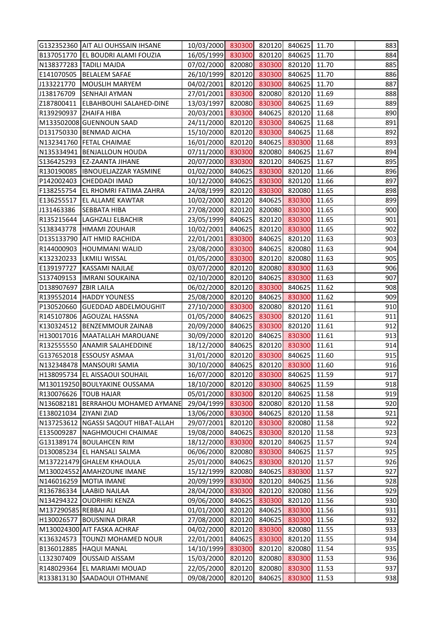|                        | G132352360 AIT ALI OUHSSAIN IHSANE     | 10/03/2000 830300 820120              |        |        | 840625 | 11.70 | 883 |
|------------------------|----------------------------------------|---------------------------------------|--------|--------|--------|-------|-----|
|                        | B137051770 EL BOUDRI ALAMI FOUZIA      | 16/05/1999 830300                     |        | 820120 | 840625 | 11.70 | 884 |
|                        | N138377283 TADILI MAJDA                | 07/02/2000                            | 820080 | 830300 | 820120 | 11.70 | 885 |
|                        | E141070505   BELALEM SAFAE             | 26/10/1999                            | 820120 | 830300 | 840625 | 11.70 | 886 |
| J133221770             | <b>MOUSLIH MARYEM</b>                  | 04/02/2001                            | 820120 | 830300 | 840625 | 11.70 | 887 |
| J138176709             | <b>SENHAJI AYMAN</b>                   | 27/01/2001                            | 830300 | 820080 | 820120 | 11.69 | 888 |
| Z187800411             | <b>ELBAHBOUHI SALAHED-DINE</b>         | 13/03/1997                            | 820080 | 830300 | 840625 | 11.69 | 889 |
| R139290937 ZHAIFA HIBA |                                        | 20/03/2001                            | 830300 | 840625 | 820120 | 11.68 | 890 |
|                        | M133502008 GUENNOUN SAAD               | 24/11/2000                            | 820120 | 830300 | 840625 | 11.68 | 891 |
|                        | D131750330 BENMAD AICHA                | 15/10/2000                            | 820120 | 830300 | 840625 | 11.68 | 892 |
|                        | N132341760 FETAL CHAIMAE               | 16/01/2000                            | 820120 | 840625 | 830300 | 11.68 | 893 |
|                        | N135334941   BENJALLOUN HOUDA          | 07/11/2000                            | 830300 | 820080 | 840625 | 11.67 | 894 |
| S136425293             | <b>EZ-ZAANTA JIHANE</b>                | 20/07/2000                            | 830300 | 820120 | 840625 | 11.67 | 895 |
|                        | R130190085  IBNOUELJAZZAR YASMINE      | 01/02/2000                            | 840625 | 830300 | 820120 | 11.66 | 896 |
|                        | P142002403 CHEDDADI IMAD               | 10/12/2000                            | 840625 | 830300 | 820120 | 11.66 | 897 |
|                        | F138255754 EL RHOMRI FATIMA ZAHRA      | 24/08/1999                            | 820120 | 830300 | 820080 | 11.65 | 898 |
| E136255517             | <b>EL ALLAME KAWTAR</b>                | 10/02/2000                            | 820120 | 840625 | 830300 | 11.65 | 899 |
| J131463386             | <b>SEBBATA HIBA</b>                    | 27/08/2000                            | 820120 | 820080 | 830300 | 11.65 | 900 |
| R135215644             | <b>LAGHZALI ELBACHIR</b>               | 23/05/1999                            | 840625 | 820120 | 830300 | 11.65 | 901 |
|                        | S138343778  HMAMI ZOUHAIR              | 10/02/2001                            | 840625 | 820120 | 830300 | 11.65 | 902 |
|                        | D135133790 AIT HMID RACHIDA            | 22/01/2001                            | 830300 | 840625 | 820120 | 11.63 | 903 |
| R144000903             | <b>HOUMMANI WALID</b>                  | 23/08/2000                            | 830300 | 840625 | 820080 | 11.63 | 904 |
|                        | K132320233  LKMILI WISSAL              | 01/05/2000                            | 830300 | 820120 | 820080 | 11.63 | 905 |
| E139197727             | KASSAMI NAJLAE                         | 03/07/2000                            | 820120 | 820080 | 830300 | 11.63 | 906 |
| S137409153             | <b>IMRANI SOUKAINA</b>                 | 02/10/2000                            | 820120 | 840625 | 830300 | 11.63 | 907 |
| D138907697 ZBIR LAILA  |                                        | 06/02/2000                            | 820120 | 830300 | 840625 | 11.62 | 908 |
| R139552014             | <b>HADDY YOUNESS</b>                   | 25/08/2000                            | 820120 | 840625 | 830300 | 11.62 | 909 |
|                        | P130520660 GUEDDAD ABDELMOUGHIT        | 27/10/2000                            | 830300 | 820080 | 820120 | 11.61 | 910 |
|                        | R145107806 AGOUZAL HASSNA              | 01/05/2000                            | 840625 | 830300 | 820120 | 11.61 | 911 |
|                        | K130324512   BENZEMMOUR ZAINAB         | 20/09/2000                            | 840625 | 830300 | 820120 | 11.61 | 912 |
|                        | H130017016   MAATALLAH MAROUANE        | 30/09/2000                            | 820120 | 840625 | 830300 | 11.61 | 913 |
|                        | R132555550 ANAMIR SALAHEDDINE          | 18/12/2000 840625 820120 830300 11.61 |        |        |        |       | 914 |
|                        | G137652018 ESSOUSY ASMAA               | 31/01/2000                            | 820120 | 830300 | 840625 | 11.60 | 915 |
|                        | N132348478   MANSOURI SAMIA            | 30/10/2000                            | 840625 | 820120 | 830300 | 11.60 | 916 |
|                        | H138095734 EL AISSAOUI SOUHAIL         | 16/07/2000                            | 820120 | 830300 | 840625 | 11.59 | 917 |
|                        | M130119250 BOULYAKINE OUSSAMA          | 18/10/2000                            | 820120 | 830300 | 840625 | 11.59 | 918 |
|                        | R130076626   TOUB HAJAR                | 05/01/2000                            | 830300 | 820120 | 840625 | 11.58 | 919 |
|                        | N136082181 BERRAHOU MOHAMED AYMANE     | 29/04/1999                            | 830300 | 820080 | 820120 | 11.58 | 920 |
| E138021034             | <b>ZIYANI ZIAD</b>                     | 13/06/2000                            | 830300 | 840625 | 820120 | 11.58 | 921 |
|                        | N137253612   NGASSI SAQOUT HIBAT-ALLAH | 29/07/2001                            | 820120 | 830300 | 820080 | 11.58 | 922 |
| E135009287             | <b>NAGHMOUCHI CHAIMAE</b>              | 19/08/2000                            | 840625 | 830300 | 820120 | 11.58 | 923 |
|                        | G131389174 BOULAHCEN RIM               | 18/12/2000                            | 830300 | 820120 | 840625 | 11.57 | 924 |
|                        | D130085234 EL HANSALI SALMA            | 06/06/2000                            | 820080 | 830300 | 840625 | 11.57 | 925 |
|                        | M137221479 GHALEM KHAOULA              | 25/01/2000                            | 840625 | 830300 | 820120 | 11.57 | 926 |
|                        | M130024552 AMAHZOUNE IMANE             | 15/12/1999                            | 820080 | 840625 | 830300 | 11.57 | 927 |
|                        | N146016259 MOTIA IMANE                 | 20/09/1999                            | 830300 | 820120 | 840625 | 11.56 | 928 |
|                        | R136786334 LAABID NAJLAA               | 28/04/2000                            | 830300 | 820120 | 820080 | 11.56 | 929 |
|                        | N134294322 OUDRHIRI KENZA              | 09/06/2000                            | 840625 | 830300 | 820120 | 11.56 | 930 |
| M137290585 REBBAJ ALI  |                                        | 01/01/2000                            | 820120 | 840625 | 830300 | 11.56 | 931 |
|                        | H130026577 BOUSNINA DIRAR              | 27/08/2000                            | 820120 | 840625 | 830300 | 11.56 | 932 |
|                        | M130024300 AIT FASKA ACHRAF            | 04/02/2000                            | 820120 | 830300 | 820080 | 11.55 | 933 |
| K136324573             | TOUNZI MOHAMED NOUR                    | 22/01/2001                            | 840625 | 830300 | 820120 | 11.55 | 934 |
| B136012885             | <b>HAQUI MANAL</b>                     | 14/10/1999                            | 830300 | 820120 | 820080 | 11.54 | 935 |
| L132307409             | <b>OUSSAID AISSAM</b>                  | 15/03/2000                            | 820120 | 820080 | 830300 | 11.53 | 936 |
| R148029364             | <b>EL MARIAMI MOUAD</b>                | 22/05/2000                            | 820120 | 820080 | 830300 | 11.53 | 937 |
| R133813130             | <b>SAADAOUI OTHMANE</b>                | 09/08/2000                            | 820120 | 840625 | 830300 | 11.53 | 938 |